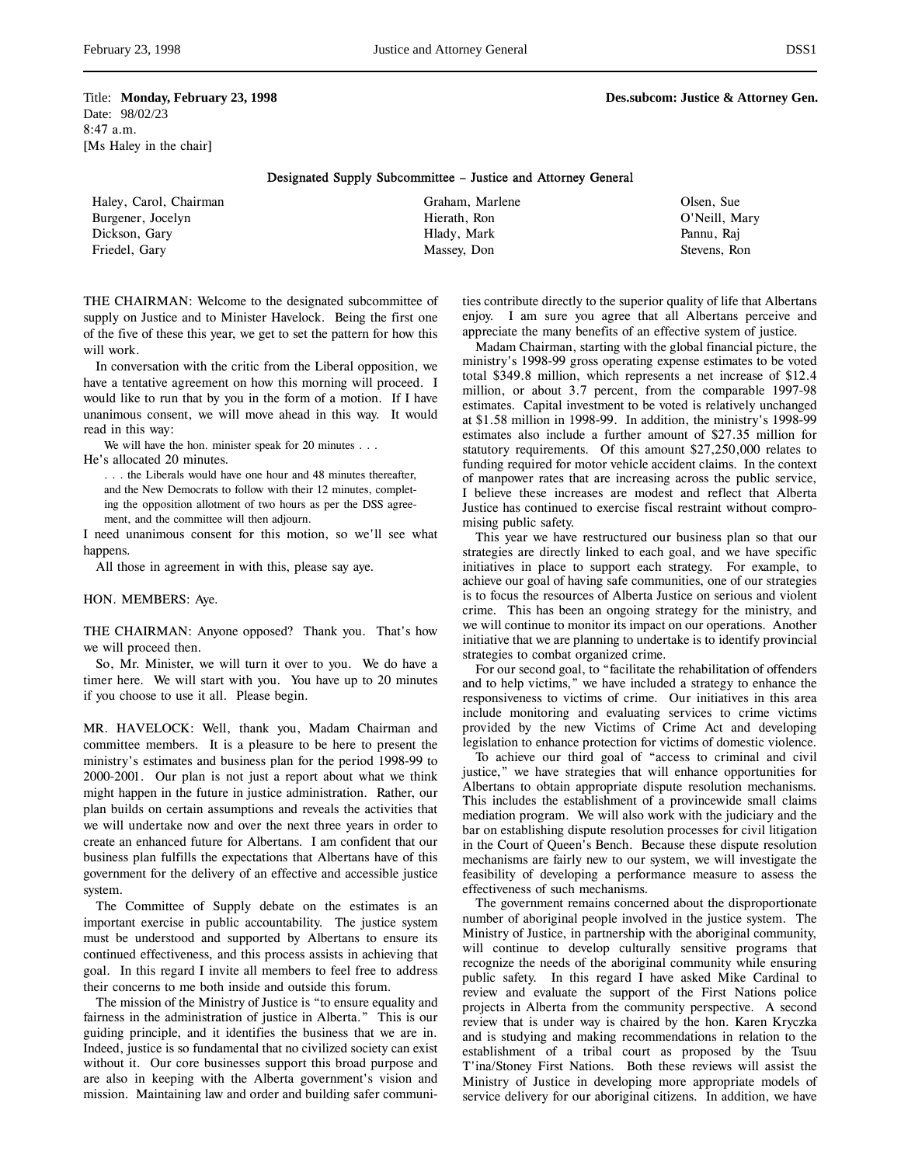Title: **Monday, February 23, 1998 Des.subcom: Justice & Attorney Gen.** Date: 98/02/23 8:47 a.m. [Ms Haley in the chair]

### Designated Supply Subcommittee – Justice and Attorney General

| Haley, Carol, Chairman | Graham, Marlene | Olsen, Sue    |
|------------------------|-----------------|---------------|
| Burgener, Jocelyn      | Hierath, Ron    | O'Neill, Mary |
| Dickson, Gary          | Hlady, Mark     | Pannu, Rai    |
| Friedel, Gary          | Massey, Don     | Stevens, Ron  |

THE CHAIRMAN: Welcome to the designated subcommittee of supply on Justice and to Minister Havelock. Being the first one of the five of these this year, we get to set the pattern for how this will work.

In conversation with the critic from the Liberal opposition, we have a tentative agreement on how this morning will proceed. I would like to run that by you in the form of a motion. If I have unanimous consent, we will move ahead in this way. It would read in this way:

We will have the hon. minister speak for 20 minutes . . .

He's allocated 20 minutes.

. . . the Liberals would have one hour and 48 minutes thereafter, and the New Democrats to follow with their 12 minutes, completing the opposition allotment of two hours as per the DSS agree-

ment, and the committee will then adjourn.

I need unanimous consent for this motion, so we'll see what happens.

All those in agreement in with this, please say aye.

### HON. MEMBERS: Aye.

THE CHAIRMAN: Anyone opposed? Thank you. That's how we will proceed then.

So, Mr. Minister, we will turn it over to you. We do have a timer here. We will start with you. You have up to 20 minutes if you choose to use it all. Please begin.

MR. HAVELOCK: Well, thank you, Madam Chairman and committee members. It is a pleasure to be here to present the ministry's estimates and business plan for the period 1998-99 to 2000-2001. Our plan is not just a report about what we think might happen in the future in justice administration. Rather, our plan builds on certain assumptions and reveals the activities that we will undertake now and over the next three years in order to create an enhanced future for Albertans. I am confident that our business plan fulfills the expectations that Albertans have of this government for the delivery of an effective and accessible justice system.

The Committee of Supply debate on the estimates is an important exercise in public accountability. The justice system must be understood and supported by Albertans to ensure its continued effectiveness, and this process assists in achieving that goal. In this regard I invite all members to feel free to address their concerns to me both inside and outside this forum.

The mission of the Ministry of Justice is "to ensure equality and fairness in the administration of justice in Alberta." This is our guiding principle, and it identifies the business that we are in. Indeed, justice is so fundamental that no civilized society can exist without it. Our core businesses support this broad purpose and are also in keeping with the Alberta government's vision and mission. Maintaining law and order and building safer communities contribute directly to the superior quality of life that Albertans enjoy. I am sure you agree that all Albertans perceive and appreciate the many benefits of an effective system of justice.

Madam Chairman, starting with the global financial picture, the ministry's 1998-99 gross operating expense estimates to be voted total \$349.8 million, which represents a net increase of \$12.4 million, or about 3.7 percent, from the comparable 1997-98 estimates. Capital investment to be voted is relatively unchanged at \$1.58 million in 1998-99. In addition, the ministry's 1998-99 estimates also include a further amount of \$27.35 million for statutory requirements. Of this amount \$27,250,000 relates to funding required for motor vehicle accident claims. In the context of manpower rates that are increasing across the public service, I believe these increases are modest and reflect that Alberta Justice has continued to exercise fiscal restraint without compromising public safety.

This year we have restructured our business plan so that our strategies are directly linked to each goal, and we have specific initiatives in place to support each strategy. For example, to achieve our goal of having safe communities, one of our strategies is to focus the resources of Alberta Justice on serious and violent crime. This has been an ongoing strategy for the ministry, and we will continue to monitor its impact on our operations. Another initiative that we are planning to undertake is to identify provincial strategies to combat organized crime.

For our second goal, to "facilitate the rehabilitation of offenders and to help victims," we have included a strategy to enhance the responsiveness to victims of crime. Our initiatives in this area include monitoring and evaluating services to crime victims provided by the new Victims of Crime Act and developing legislation to enhance protection for victims of domestic violence.

To achieve our third goal of "access to criminal and civil justice," we have strategies that will enhance opportunities for Albertans to obtain appropriate dispute resolution mechanisms. This includes the establishment of a provincewide small claims mediation program. We will also work with the judiciary and the bar on establishing dispute resolution processes for civil litigation in the Court of Queen's Bench. Because these dispute resolution mechanisms are fairly new to our system, we will investigate the feasibility of developing a performance measure to assess the effectiveness of such mechanisms.

The government remains concerned about the disproportionate number of aboriginal people involved in the justice system. The Ministry of Justice, in partnership with the aboriginal community, will continue to develop culturally sensitive programs that recognize the needs of the aboriginal community while ensuring public safety. In this regard I have asked Mike Cardinal to review and evaluate the support of the First Nations police projects in Alberta from the community perspective. A second review that is under way is chaired by the hon. Karen Kryczka and is studying and making recommendations in relation to the establishment of a tribal court as proposed by the Tsuu T'ina/Stoney First Nations. Both these reviews will assist the Ministry of Justice in developing more appropriate models of service delivery for our aboriginal citizens. In addition, we have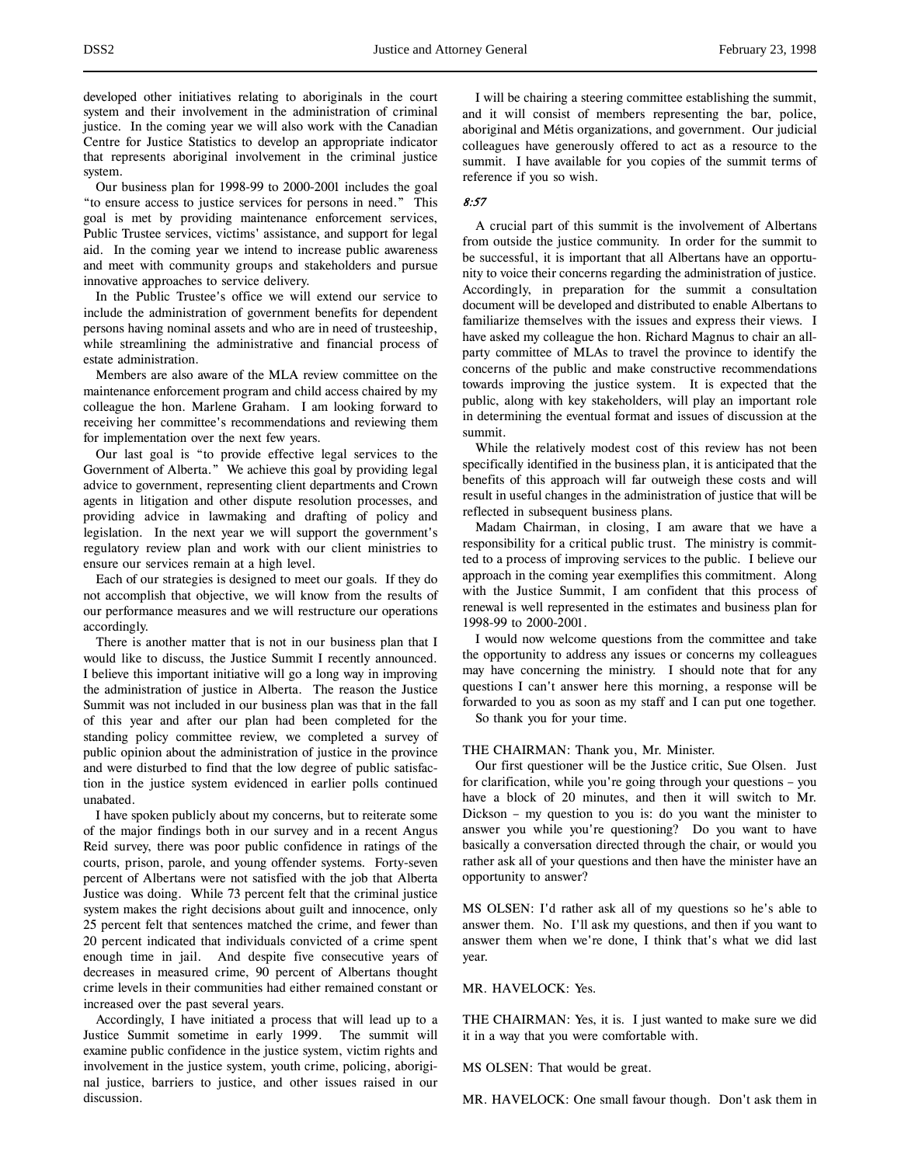developed other initiatives relating to aboriginals in the court system and their involvement in the administration of criminal justice. In the coming year we will also work with the Canadian Centre for Justice Statistics to develop an appropriate indicator that represents aboriginal involvement in the criminal justice system.

Our business plan for 1998-99 to 2000-2001 includes the goal "to ensure access to justice services for persons in need." This goal is met by providing maintenance enforcement services, Public Trustee services, victims' assistance, and support for legal aid. In the coming year we intend to increase public awareness and meet with community groups and stakeholders and pursue innovative approaches to service delivery.

In the Public Trustee's office we will extend our service to include the administration of government benefits for dependent persons having nominal assets and who are in need of trusteeship, while streamlining the administrative and financial process of estate administration.

Members are also aware of the MLA review committee on the maintenance enforcement program and child access chaired by my colleague the hon. Marlene Graham. I am looking forward to receiving her committee's recommendations and reviewing them for implementation over the next few years.

Our last goal is "to provide effective legal services to the Government of Alberta." We achieve this goal by providing legal advice to government, representing client departments and Crown agents in litigation and other dispute resolution processes, and providing advice in lawmaking and drafting of policy and legislation. In the next year we will support the government's regulatory review plan and work with our client ministries to ensure our services remain at a high level.

Each of our strategies is designed to meet our goals. If they do not accomplish that objective, we will know from the results of our performance measures and we will restructure our operations accordingly.

There is another matter that is not in our business plan that I would like to discuss, the Justice Summit I recently announced. I believe this important initiative will go a long way in improving the administration of justice in Alberta. The reason the Justice Summit was not included in our business plan was that in the fall of this year and after our plan had been completed for the standing policy committee review, we completed a survey of public opinion about the administration of justice in the province and were disturbed to find that the low degree of public satisfaction in the justice system evidenced in earlier polls continued unabated.

I have spoken publicly about my concerns, but to reiterate some of the major findings both in our survey and in a recent Angus Reid survey, there was poor public confidence in ratings of the courts, prison, parole, and young offender systems. Forty-seven percent of Albertans were not satisfied with the job that Alberta Justice was doing. While 73 percent felt that the criminal justice system makes the right decisions about guilt and innocence, only 25 percent felt that sentences matched the crime, and fewer than 20 percent indicated that individuals convicted of a crime spent enough time in jail. And despite five consecutive years of decreases in measured crime, 90 percent of Albertans thought crime levels in their communities had either remained constant or increased over the past several years.

Accordingly, I have initiated a process that will lead up to a Justice Summit sometime in early 1999. The summit will examine public confidence in the justice system, victim rights and involvement in the justice system, youth crime, policing, aboriginal justice, barriers to justice, and other issues raised in our discussion.

I will be chairing a steering committee establishing the summit, and it will consist of members representing the bar, police, aboriginal and Métis organizations, and government. Our judicial colleagues have generously offered to act as a resource to the summit. I have available for you copies of the summit terms of reference if you so wish.

### 8:57

A crucial part of this summit is the involvement of Albertans from outside the justice community. In order for the summit to be successful, it is important that all Albertans have an opportunity to voice their concerns regarding the administration of justice. Accordingly, in preparation for the summit a consultation document will be developed and distributed to enable Albertans to familiarize themselves with the issues and express their views. I have asked my colleague the hon. Richard Magnus to chair an allparty committee of MLAs to travel the province to identify the concerns of the public and make constructive recommendations towards improving the justice system. It is expected that the public, along with key stakeholders, will play an important role in determining the eventual format and issues of discussion at the summit.

While the relatively modest cost of this review has not been specifically identified in the business plan, it is anticipated that the benefits of this approach will far outweigh these costs and will result in useful changes in the administration of justice that will be reflected in subsequent business plans.

Madam Chairman, in closing, I am aware that we have a responsibility for a critical public trust. The ministry is committed to a process of improving services to the public. I believe our approach in the coming year exemplifies this commitment. Along with the Justice Summit, I am confident that this process of renewal is well represented in the estimates and business plan for 1998-99 to 2000-2001.

I would now welcome questions from the committee and take the opportunity to address any issues or concerns my colleagues may have concerning the ministry. I should note that for any questions I can't answer here this morning, a response will be forwarded to you as soon as my staff and I can put one together.

So thank you for your time.

### THE CHAIRMAN: Thank you, Mr. Minister.

Our first questioner will be the Justice critic, Sue Olsen. Just for clarification, while you're going through your questions – you have a block of 20 minutes, and then it will switch to Mr. Dickson – my question to you is: do you want the minister to answer you while you're questioning? Do you want to have basically a conversation directed through the chair, or would you rather ask all of your questions and then have the minister have an opportunity to answer?

MS OLSEN: I'd rather ask all of my questions so he's able to answer them. No. I'll ask my questions, and then if you want to answer them when we're done, I think that's what we did last year.

MR. HAVELOCK: Yes.

THE CHAIRMAN: Yes, it is. I just wanted to make sure we did it in a way that you were comfortable with.

MS OLSEN: That would be great.

MR. HAVELOCK: One small favour though. Don't ask them in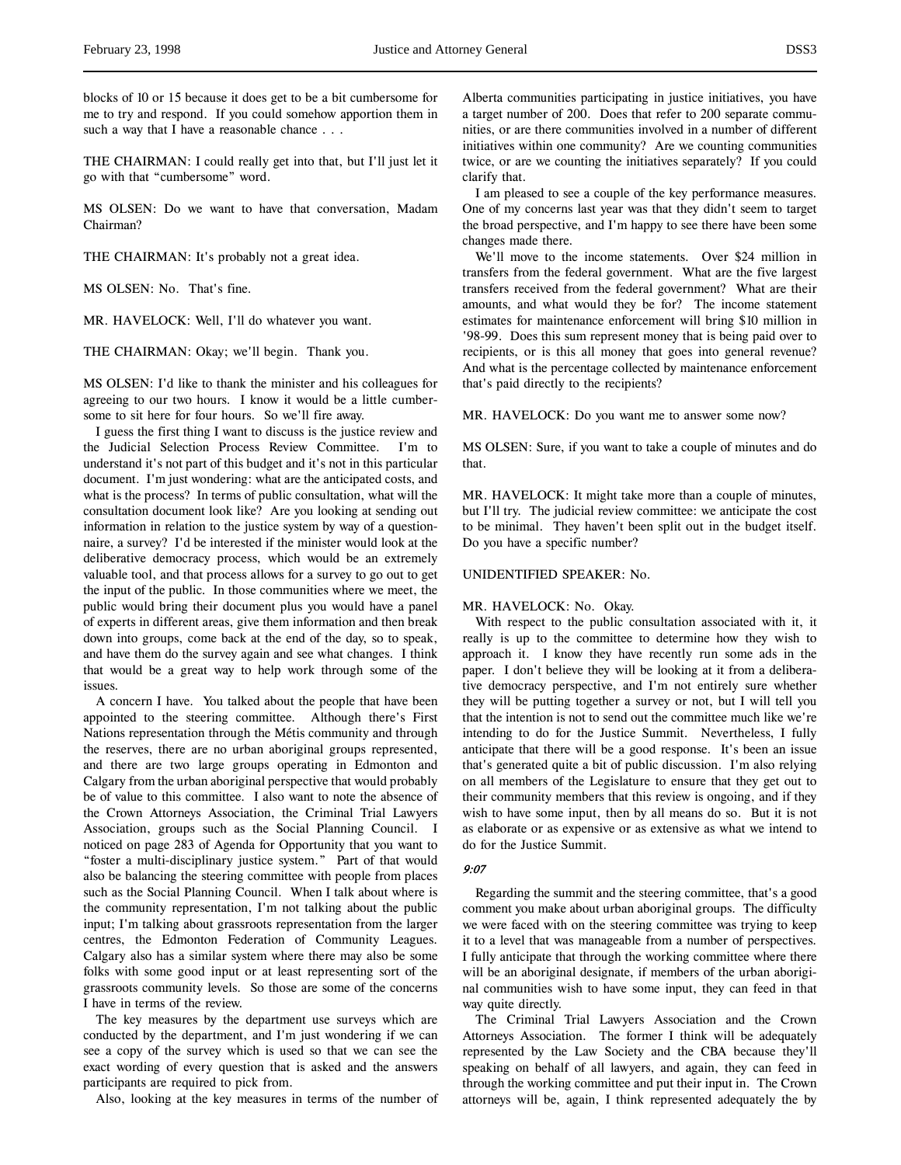THE CHAIRMAN: I could really get into that, but I'll just let it go with that "cumbersome" word.

MS OLSEN: Do we want to have that conversation, Madam Chairman?

THE CHAIRMAN: It's probably not a great idea.

MS OLSEN: No. That's fine.

MR. HAVELOCK: Well, I'll do whatever you want.

THE CHAIRMAN: Okay; we'll begin. Thank you.

MS OLSEN: I'd like to thank the minister and his colleagues for agreeing to our two hours. I know it would be a little cumbersome to sit here for four hours. So we'll fire away.

I guess the first thing I want to discuss is the justice review and the Judicial Selection Process Review Committee. I'm to understand it's not part of this budget and it's not in this particular document. I'm just wondering: what are the anticipated costs, and what is the process? In terms of public consultation, what will the consultation document look like? Are you looking at sending out information in relation to the justice system by way of a questionnaire, a survey? I'd be interested if the minister would look at the deliberative democracy process, which would be an extremely valuable tool, and that process allows for a survey to go out to get the input of the public. In those communities where we meet, the public would bring their document plus you would have a panel of experts in different areas, give them information and then break down into groups, come back at the end of the day, so to speak, and have them do the survey again and see what changes. I think that would be a great way to help work through some of the issues.

A concern I have. You talked about the people that have been appointed to the steering committee. Although there's First Nations representation through the Métis community and through the reserves, there are no urban aboriginal groups represented, and there are two large groups operating in Edmonton and Calgary from the urban aboriginal perspective that would probably be of value to this committee. I also want to note the absence of the Crown Attorneys Association, the Criminal Trial Lawyers Association, groups such as the Social Planning Council. I noticed on page 283 of Agenda for Opportunity that you want to "foster a multi-disciplinary justice system." Part of that would also be balancing the steering committee with people from places such as the Social Planning Council. When I talk about where is the community representation, I'm not talking about the public input; I'm talking about grassroots representation from the larger centres, the Edmonton Federation of Community Leagues. Calgary also has a similar system where there may also be some folks with some good input or at least representing sort of the grassroots community levels. So those are some of the concerns I have in terms of the review.

The key measures by the department use surveys which are conducted by the department, and I'm just wondering if we can see a copy of the survey which is used so that we can see the exact wording of every question that is asked and the answers participants are required to pick from.

Also, looking at the key measures in terms of the number of

Alberta communities participating in justice initiatives, you have a target number of 200. Does that refer to 200 separate communities, or are there communities involved in a number of different initiatives within one community? Are we counting communities twice, or are we counting the initiatives separately? If you could clarify that.

I am pleased to see a couple of the key performance measures. One of my concerns last year was that they didn't seem to target the broad perspective, and I'm happy to see there have been some changes made there.

We'll move to the income statements. Over \$24 million in transfers from the federal government. What are the five largest transfers received from the federal government? What are their amounts, and what would they be for? The income statement estimates for maintenance enforcement will bring \$10 million in '98-99. Does this sum represent money that is being paid over to recipients, or is this all money that goes into general revenue? And what is the percentage collected by maintenance enforcement that's paid directly to the recipients?

MR. HAVELOCK: Do you want me to answer some now?

MS OLSEN: Sure, if you want to take a couple of minutes and do that.

MR. HAVELOCK: It might take more than a couple of minutes, but I'll try. The judicial review committee: we anticipate the cost to be minimal. They haven't been split out in the budget itself. Do you have a specific number?

## UNIDENTIFIED SPEAKER: No.

#### MR. HAVELOCK: No. Okay.

With respect to the public consultation associated with it, it really is up to the committee to determine how they wish to approach it. I know they have recently run some ads in the paper. I don't believe they will be looking at it from a deliberative democracy perspective, and I'm not entirely sure whether they will be putting together a survey or not, but I will tell you that the intention is not to send out the committee much like we're intending to do for the Justice Summit. Nevertheless, I fully anticipate that there will be a good response. It's been an issue that's generated quite a bit of public discussion. I'm also relying on all members of the Legislature to ensure that they get out to their community members that this review is ongoing, and if they wish to have some input, then by all means do so. But it is not as elaborate or as expensive or as extensive as what we intend to do for the Justice Summit.

## 9:07

Regarding the summit and the steering committee, that's a good comment you make about urban aboriginal groups. The difficulty we were faced with on the steering committee was trying to keep it to a level that was manageable from a number of perspectives. I fully anticipate that through the working committee where there will be an aboriginal designate, if members of the urban aboriginal communities wish to have some input, they can feed in that way quite directly.

The Criminal Trial Lawyers Association and the Crown Attorneys Association. The former I think will be adequately represented by the Law Society and the CBA because they'll speaking on behalf of all lawyers, and again, they can feed in through the working committee and put their input in. The Crown attorneys will be, again, I think represented adequately the by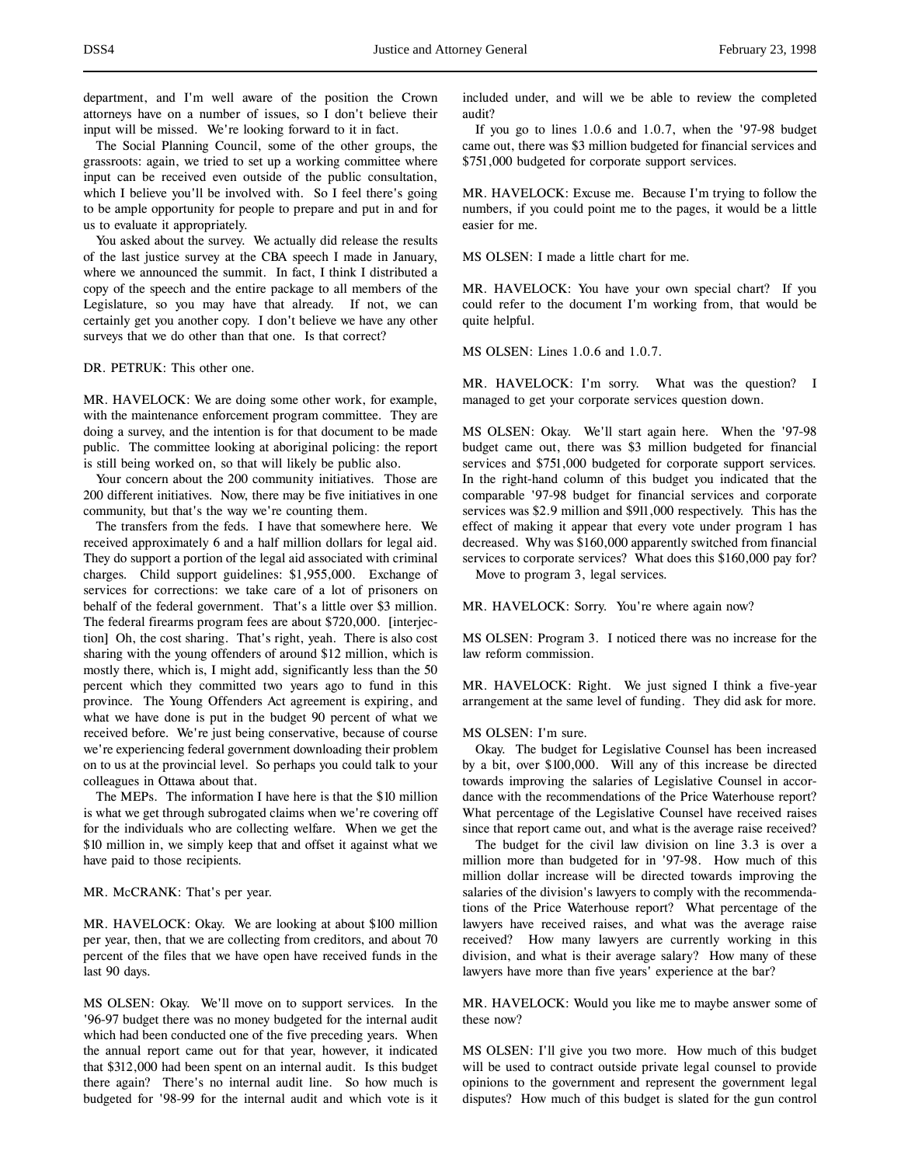department, and I'm well aware of the position the Crown attorneys have on a number of issues, so I don't believe their input will be missed. We're looking forward to it in fact.

The Social Planning Council, some of the other groups, the grassroots: again, we tried to set up a working committee where input can be received even outside of the public consultation, which I believe you'll be involved with. So I feel there's going to be ample opportunity for people to prepare and put in and for us to evaluate it appropriately.

You asked about the survey. We actually did release the results of the last justice survey at the CBA speech I made in January, where we announced the summit. In fact, I think I distributed a copy of the speech and the entire package to all members of the Legislature, so you may have that already. If not, we can certainly get you another copy. I don't believe we have any other surveys that we do other than that one. Is that correct?

DR. PETRUK: This other one.

MR. HAVELOCK: We are doing some other work, for example, with the maintenance enforcement program committee. They are doing a survey, and the intention is for that document to be made public. The committee looking at aboriginal policing: the report is still being worked on, so that will likely be public also.

Your concern about the 200 community initiatives. Those are 200 different initiatives. Now, there may be five initiatives in one community, but that's the way we're counting them.

The transfers from the feds. I have that somewhere here. We received approximately 6 and a half million dollars for legal aid. They do support a portion of the legal aid associated with criminal charges. Child support guidelines: \$1,955,000. Exchange of services for corrections: we take care of a lot of prisoners on behalf of the federal government. That's a little over \$3 million. The federal firearms program fees are about \$720,000. [interjection] Oh, the cost sharing. That's right, yeah. There is also cost sharing with the young offenders of around \$12 million, which is mostly there, which is, I might add, significantly less than the 50 percent which they committed two years ago to fund in this province. The Young Offenders Act agreement is expiring, and what we have done is put in the budget 90 percent of what we received before. We're just being conservative, because of course we're experiencing federal government downloading their problem on to us at the provincial level. So perhaps you could talk to your colleagues in Ottawa about that.

The MEPs. The information I have here is that the \$10 million is what we get through subrogated claims when we're covering off for the individuals who are collecting welfare. When we get the \$10 million in, we simply keep that and offset it against what we have paid to those recipients.

### MR. McCRANK: That's per year.

MR. HAVELOCK: Okay. We are looking at about \$100 million per year, then, that we are collecting from creditors, and about 70 percent of the files that we have open have received funds in the last 90 days.

MS OLSEN: Okay. We'll move on to support services. In the '96-97 budget there was no money budgeted for the internal audit which had been conducted one of the five preceding years. When the annual report came out for that year, however, it indicated that \$312,000 had been spent on an internal audit. Is this budget there again? There's no internal audit line. So how much is budgeted for '98-99 for the internal audit and which vote is it

included under, and will we be able to review the completed audit?

If you go to lines 1.0.6 and 1.0.7, when the '97-98 budget came out, there was \$3 million budgeted for financial services and \$751,000 budgeted for corporate support services.

MR. HAVELOCK: Excuse me. Because I'm trying to follow the numbers, if you could point me to the pages, it would be a little easier for me.

MS OLSEN: I made a little chart for me.

MR. HAVELOCK: You have your own special chart? If you could refer to the document I'm working from, that would be quite helpful.

MS OLSEN: Lines 1.0.6 and 1.0.7.

MR. HAVELOCK: I'm sorry. What was the question? I managed to get your corporate services question down.

MS OLSEN: Okay. We'll start again here. When the '97-98 budget came out, there was \$3 million budgeted for financial services and \$751,000 budgeted for corporate support services. In the right-hand column of this budget you indicated that the comparable '97-98 budget for financial services and corporate services was \$2.9 million and \$911,000 respectively. This has the effect of making it appear that every vote under program 1 has decreased. Why was \$160,000 apparently switched from financial services to corporate services? What does this \$160,000 pay for?

Move to program 3, legal services.

MR. HAVELOCK: Sorry. You're where again now?

MS OLSEN: Program 3. I noticed there was no increase for the law reform commission.

MR. HAVELOCK: Right. We just signed I think a five-year arrangement at the same level of funding. They did ask for more.

#### MS OLSEN: I'm sure.

Okay. The budget for Legislative Counsel has been increased by a bit, over \$100,000. Will any of this increase be directed towards improving the salaries of Legislative Counsel in accordance with the recommendations of the Price Waterhouse report? What percentage of the Legislative Counsel have received raises since that report came out, and what is the average raise received?

The budget for the civil law division on line 3.3 is over a million more than budgeted for in '97-98. How much of this million dollar increase will be directed towards improving the salaries of the division's lawyers to comply with the recommendations of the Price Waterhouse report? What percentage of the lawyers have received raises, and what was the average raise received? How many lawyers are currently working in this division, and what is their average salary? How many of these lawyers have more than five years' experience at the bar?

MR. HAVELOCK: Would you like me to maybe answer some of these now?

MS OLSEN: I'll give you two more. How much of this budget will be used to contract outside private legal counsel to provide opinions to the government and represent the government legal disputes? How much of this budget is slated for the gun control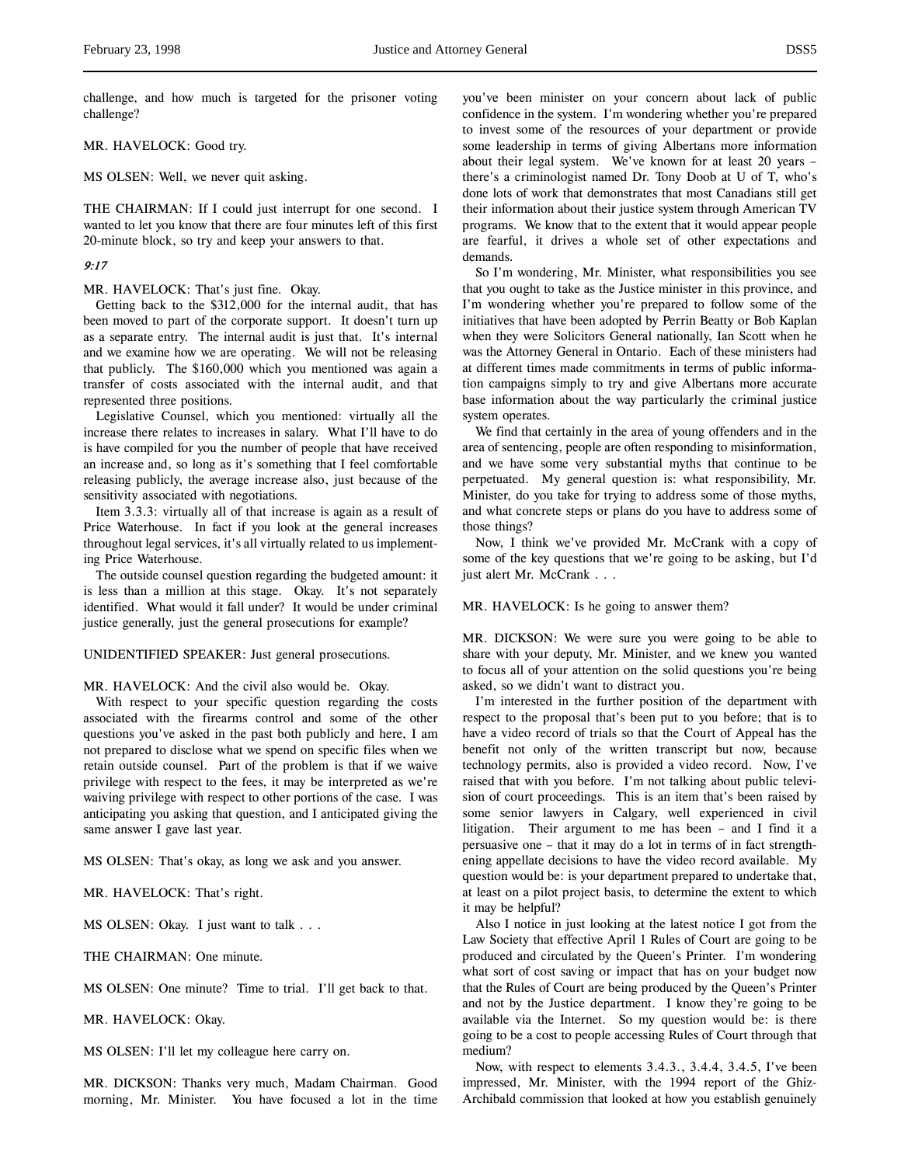challenge, and how much is targeted for the prisoner voting challenge?

### MR. HAVELOCK: Good try.

MS OLSEN: Well, we never quit asking.

THE CHAIRMAN: If I could just interrupt for one second. I wanted to let you know that there are four minutes left of this first 20-minute block, so try and keep your answers to that.

# 9:17

### MR. HAVELOCK: That's just fine. Okay.

Getting back to the \$312,000 for the internal audit, that has been moved to part of the corporate support. It doesn't turn up as a separate entry. The internal audit is just that. It's internal and we examine how we are operating. We will not be releasing that publicly. The \$160,000 which you mentioned was again a transfer of costs associated with the internal audit, and that represented three positions.

Legislative Counsel, which you mentioned: virtually all the increase there relates to increases in salary. What I'll have to do is have compiled for you the number of people that have received an increase and, so long as it's something that I feel comfortable releasing publicly, the average increase also, just because of the sensitivity associated with negotiations.

Item 3.3.3: virtually all of that increase is again as a result of Price Waterhouse. In fact if you look at the general increases throughout legal services, it's all virtually related to us implementing Price Waterhouse.

The outside counsel question regarding the budgeted amount: it is less than a million at this stage. Okay. It's not separately identified. What would it fall under? It would be under criminal justice generally, just the general prosecutions for example?

#### UNIDENTIFIED SPEAKER: Just general prosecutions.

#### MR. HAVELOCK: And the civil also would be. Okay.

With respect to your specific question regarding the costs associated with the firearms control and some of the other questions you've asked in the past both publicly and here, I am not prepared to disclose what we spend on specific files when we retain outside counsel. Part of the problem is that if we waive privilege with respect to the fees, it may be interpreted as we're waiving privilege with respect to other portions of the case. I was anticipating you asking that question, and I anticipated giving the same answer I gave last year.

MS OLSEN: That's okay, as long we ask and you answer.

MR. HAVELOCK: That's right.

MS OLSEN: Okay. I just want to talk . . .

THE CHAIRMAN: One minute.

MS OLSEN: One minute? Time to trial. I'll get back to that.

MR. HAVELOCK: Okay.

MS OLSEN: I'll let my colleague here carry on.

MR. DICKSON: Thanks very much, Madam Chairman. Good morning, Mr. Minister. You have focused a lot in the time

you've been minister on your concern about lack of public confidence in the system. I'm wondering whether you're prepared to invest some of the resources of your department or provide some leadership in terms of giving Albertans more information about their legal system. We've known for at least 20 years – there's a criminologist named Dr. Tony Doob at U of T, who's done lots of work that demonstrates that most Canadians still get their information about their justice system through American TV programs. We know that to the extent that it would appear people are fearful, it drives a whole set of other expectations and demands.

So I'm wondering, Mr. Minister, what responsibilities you see that you ought to take as the Justice minister in this province, and I'm wondering whether you're prepared to follow some of the initiatives that have been adopted by Perrin Beatty or Bob Kaplan when they were Solicitors General nationally, Ian Scott when he was the Attorney General in Ontario. Each of these ministers had at different times made commitments in terms of public information campaigns simply to try and give Albertans more accurate base information about the way particularly the criminal justice system operates.

We find that certainly in the area of young offenders and in the area of sentencing, people are often responding to misinformation, and we have some very substantial myths that continue to be perpetuated. My general question is: what responsibility, Mr. Minister, do you take for trying to address some of those myths, and what concrete steps or plans do you have to address some of those things?

Now, I think we've provided Mr. McCrank with a copy of some of the key questions that we're going to be asking, but I'd just alert Mr. McCrank . . .

### MR. HAVELOCK: Is he going to answer them?

MR. DICKSON: We were sure you were going to be able to share with your deputy, Mr. Minister, and we knew you wanted to focus all of your attention on the solid questions you're being asked, so we didn't want to distract you.

I'm interested in the further position of the department with respect to the proposal that's been put to you before; that is to have a video record of trials so that the Court of Appeal has the benefit not only of the written transcript but now, because technology permits, also is provided a video record. Now, I've raised that with you before. I'm not talking about public television of court proceedings. This is an item that's been raised by some senior lawyers in Calgary, well experienced in civil litigation. Their argument to me has been – and I find it a persuasive one – that it may do a lot in terms of in fact strengthening appellate decisions to have the video record available. My question would be: is your department prepared to undertake that, at least on a pilot project basis, to determine the extent to which it may be helpful?

Also I notice in just looking at the latest notice I got from the Law Society that effective April 1 Rules of Court are going to be produced and circulated by the Queen's Printer. I'm wondering what sort of cost saving or impact that has on your budget now that the Rules of Court are being produced by the Queen's Printer and not by the Justice department. I know they're going to be available via the Internet. So my question would be: is there going to be a cost to people accessing Rules of Court through that medium?

Now, with respect to elements 3.4.3., 3.4.4, 3.4.5, I've been impressed, Mr. Minister, with the 1994 report of the Ghiz-Archibald commission that looked at how you establish genuinely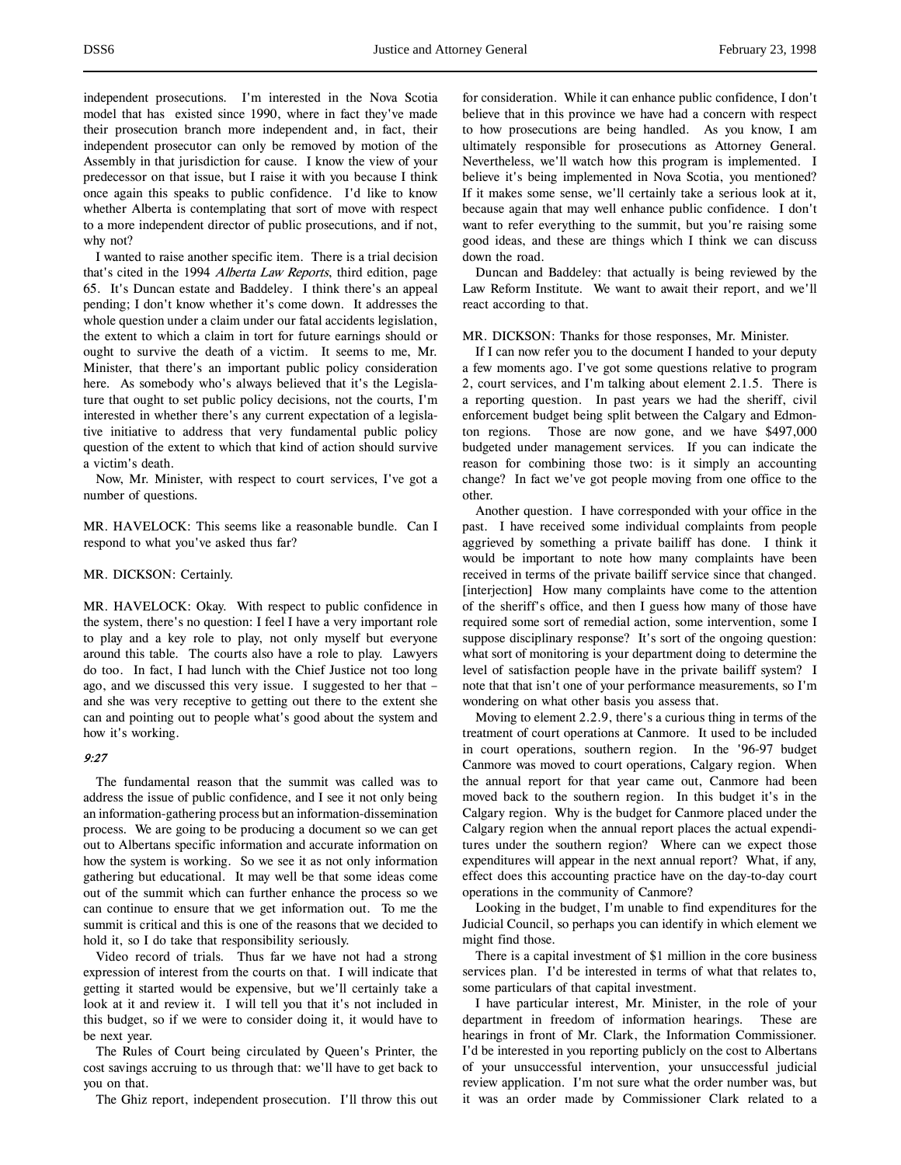independent prosecutions. I'm interested in the Nova Scotia model that has existed since 1990, where in fact they've made their prosecution branch more independent and, in fact, their independent prosecutor can only be removed by motion of the Assembly in that jurisdiction for cause. I know the view of your predecessor on that issue, but I raise it with you because I think once again this speaks to public confidence. I'd like to know whether Alberta is contemplating that sort of move with respect to a more independent director of public prosecutions, and if not, why not?

I wanted to raise another specific item. There is a trial decision that's cited in the 1994 Alberta Law Reports, third edition, page 65. It's Duncan estate and Baddeley. I think there's an appeal pending; I don't know whether it's come down. It addresses the whole question under a claim under our fatal accidents legislation, the extent to which a claim in tort for future earnings should or ought to survive the death of a victim. It seems to me, Mr. Minister, that there's an important public policy consideration here. As somebody who's always believed that it's the Legislature that ought to set public policy decisions, not the courts, I'm interested in whether there's any current expectation of a legislative initiative to address that very fundamental public policy question of the extent to which that kind of action should survive a victim's death.

Now, Mr. Minister, with respect to court services, I've got a number of questions.

MR. HAVELOCK: This seems like a reasonable bundle. Can I respond to what you've asked thus far?

#### MR. DICKSON: Certainly.

MR. HAVELOCK: Okay. With respect to public confidence in the system, there's no question: I feel I have a very important role to play and a key role to play, not only myself but everyone around this table. The courts also have a role to play. Lawyers do too. In fact, I had lunch with the Chief Justice not too long ago, and we discussed this very issue. I suggested to her that – and she was very receptive to getting out there to the extent she can and pointing out to people what's good about the system and how it's working.

#### 9:27

The fundamental reason that the summit was called was to address the issue of public confidence, and I see it not only being an information-gathering process but an information-dissemination process. We are going to be producing a document so we can get out to Albertans specific information and accurate information on how the system is working. So we see it as not only information gathering but educational. It may well be that some ideas come out of the summit which can further enhance the process so we can continue to ensure that we get information out. To me the summit is critical and this is one of the reasons that we decided to hold it, so I do take that responsibility seriously.

Video record of trials. Thus far we have not had a strong expression of interest from the courts on that. I will indicate that getting it started would be expensive, but we'll certainly take a look at it and review it. I will tell you that it's not included in this budget, so if we were to consider doing it, it would have to be next year.

The Rules of Court being circulated by Queen's Printer, the cost savings accruing to us through that: we'll have to get back to you on that.

The Ghiz report, independent prosecution. I'll throw this out

for consideration. While it can enhance public confidence, I don't believe that in this province we have had a concern with respect to how prosecutions are being handled. As you know, I am ultimately responsible for prosecutions as Attorney General. Nevertheless, we'll watch how this program is implemented. I believe it's being implemented in Nova Scotia, you mentioned? If it makes some sense, we'll certainly take a serious look at it, because again that may well enhance public confidence. I don't want to refer everything to the summit, but you're raising some good ideas, and these are things which I think we can discuss down the road.

Duncan and Baddeley: that actually is being reviewed by the Law Reform Institute. We want to await their report, and we'll react according to that.

MR. DICKSON: Thanks for those responses, Mr. Minister.

If I can now refer you to the document I handed to your deputy a few moments ago. I've got some questions relative to program 2, court services, and I'm talking about element 2.1.5. There is a reporting question. In past years we had the sheriff, civil enforcement budget being split between the Calgary and Edmonton regions. Those are now gone, and we have \$497,000 budgeted under management services. If you can indicate the reason for combining those two: is it simply an accounting change? In fact we've got people moving from one office to the other.

Another question. I have corresponded with your office in the past. I have received some individual complaints from people aggrieved by something a private bailiff has done. I think it would be important to note how many complaints have been received in terms of the private bailiff service since that changed. [interjection] How many complaints have come to the attention of the sheriff's office, and then I guess how many of those have required some sort of remedial action, some intervention, some I suppose disciplinary response? It's sort of the ongoing question: what sort of monitoring is your department doing to determine the level of satisfaction people have in the private bailiff system? I note that that isn't one of your performance measurements, so I'm wondering on what other basis you assess that.

Moving to element 2.2.9, there's a curious thing in terms of the treatment of court operations at Canmore. It used to be included in court operations, southern region. In the '96-97 budget Canmore was moved to court operations, Calgary region. When the annual report for that year came out, Canmore had been moved back to the southern region. In this budget it's in the Calgary region. Why is the budget for Canmore placed under the Calgary region when the annual report places the actual expenditures under the southern region? Where can we expect those expenditures will appear in the next annual report? What, if any, effect does this accounting practice have on the day-to-day court operations in the community of Canmore?

Looking in the budget, I'm unable to find expenditures for the Judicial Council, so perhaps you can identify in which element we might find those.

There is a capital investment of \$1 million in the core business services plan. I'd be interested in terms of what that relates to, some particulars of that capital investment.

I have particular interest, Mr. Minister, in the role of your department in freedom of information hearings. These are hearings in front of Mr. Clark, the Information Commissioner. I'd be interested in you reporting publicly on the cost to Albertans of your unsuccessful intervention, your unsuccessful judicial review application. I'm not sure what the order number was, but it was an order made by Commissioner Clark related to a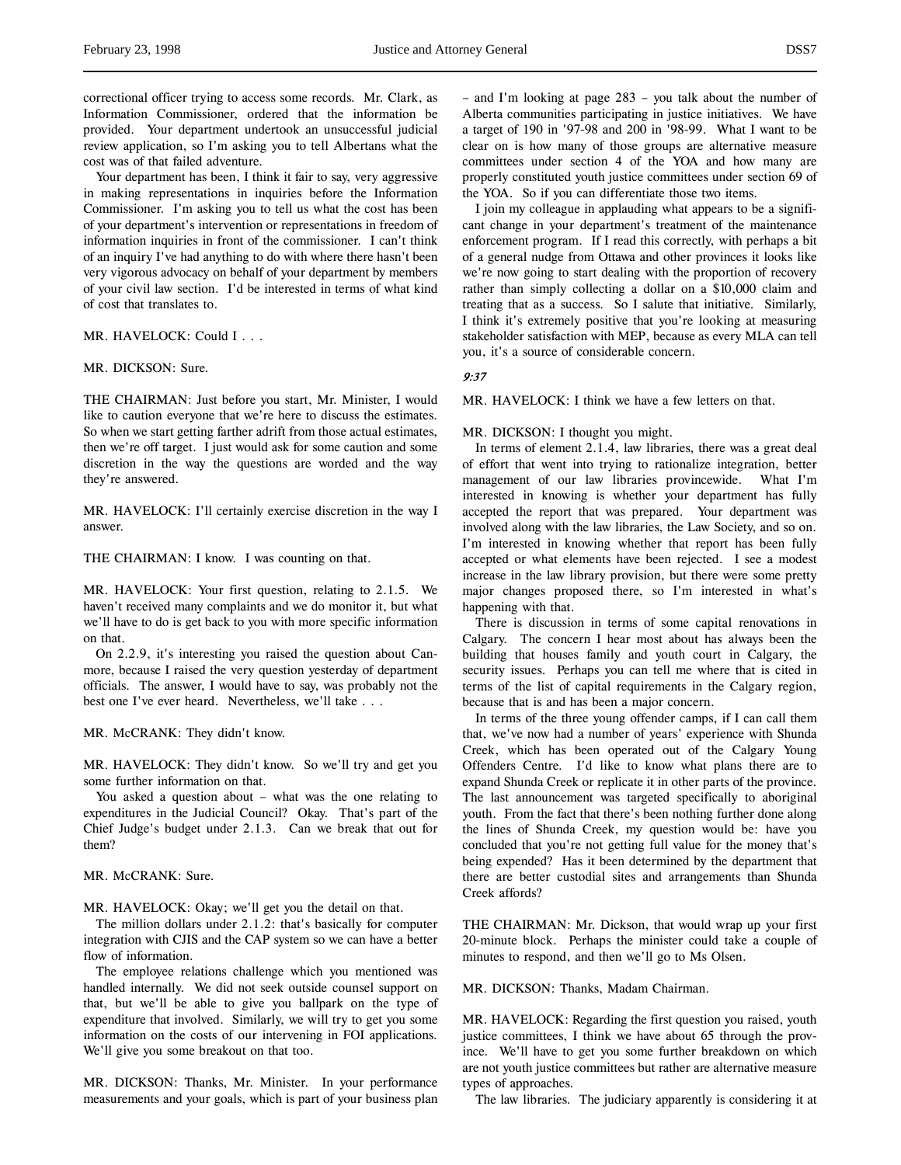correctional officer trying to access some records. Mr. Clark, as Information Commissioner, ordered that the information be provided. Your department undertook an unsuccessful judicial review application, so I'm asking you to tell Albertans what the cost was of that failed adventure.

Your department has been, I think it fair to say, very aggressive in making representations in inquiries before the Information Commissioner. I'm asking you to tell us what the cost has been of your department's intervention or representations in freedom of information inquiries in front of the commissioner. I can't think of an inquiry I've had anything to do with where there hasn't been very vigorous advocacy on behalf of your department by members of your civil law section. I'd be interested in terms of what kind of cost that translates to.

MR. HAVELOCK: Could I . . .

#### MR. DICKSON: Sure.

THE CHAIRMAN: Just before you start, Mr. Minister, I would like to caution everyone that we're here to discuss the estimates. So when we start getting farther adrift from those actual estimates, then we're off target. I just would ask for some caution and some discretion in the way the questions are worded and the way they're answered.

MR. HAVELOCK: I'll certainly exercise discretion in the way I answer.

THE CHAIRMAN: I know. I was counting on that.

MR. HAVELOCK: Your first question, relating to 2.1.5. We haven't received many complaints and we do monitor it, but what we'll have to do is get back to you with more specific information on that.

On 2.2.9, it's interesting you raised the question about Canmore, because I raised the very question yesterday of department officials. The answer, I would have to say, was probably not the best one I've ever heard. Nevertheless, we'll take . . .

MR. McCRANK: They didn't know.

MR. HAVELOCK: They didn't know. So we'll try and get you some further information on that.

You asked a question about – what was the one relating to expenditures in the Judicial Council? Okay. That's part of the Chief Judge's budget under 2.1.3. Can we break that out for them?

# MR. McCRANK: Sure.

MR. HAVELOCK: Okay; we'll get you the detail on that.

The million dollars under 2.1.2: that's basically for computer integration with CJIS and the CAP system so we can have a better flow of information.

The employee relations challenge which you mentioned was handled internally. We did not seek outside counsel support on that, but we'll be able to give you ballpark on the type of expenditure that involved. Similarly, we will try to get you some information on the costs of our intervening in FOI applications. We'll give you some breakout on that too.

MR. DICKSON: Thanks, Mr. Minister. In your performance measurements and your goals, which is part of your business plan – and I'm looking at page 283 – you talk about the number of Alberta communities participating in justice initiatives. We have a target of 190 in '97-98 and 200 in '98-99. What I want to be clear on is how many of those groups are alternative measure committees under section 4 of the YOA and how many are properly constituted youth justice committees under section 69 of the YOA. So if you can differentiate those two items.

I join my colleague in applauding what appears to be a significant change in your department's treatment of the maintenance enforcement program. If I read this correctly, with perhaps a bit of a general nudge from Ottawa and other provinces it looks like we're now going to start dealing with the proportion of recovery rather than simply collecting a dollar on a \$10,000 claim and treating that as a success. So I salute that initiative. Similarly, I think it's extremely positive that you're looking at measuring stakeholder satisfaction with MEP, because as every MLA can tell you, it's a source of considerable concern.

#### 9:37

MR. HAVELOCK: I think we have a few letters on that.

MR. DICKSON: I thought you might.

In terms of element 2.1.4, law libraries, there was a great deal of effort that went into trying to rationalize integration, better management of our law libraries provincewide. What I'm interested in knowing is whether your department has fully accepted the report that was prepared. Your department was involved along with the law libraries, the Law Society, and so on. I'm interested in knowing whether that report has been fully accepted or what elements have been rejected. I see a modest increase in the law library provision, but there were some pretty major changes proposed there, so I'm interested in what's happening with that.

There is discussion in terms of some capital renovations in Calgary. The concern I hear most about has always been the building that houses family and youth court in Calgary, the security issues. Perhaps you can tell me where that is cited in terms of the list of capital requirements in the Calgary region, because that is and has been a major concern.

In terms of the three young offender camps, if I can call them that, we've now had a number of years' experience with Shunda Creek, which has been operated out of the Calgary Young Offenders Centre. I'd like to know what plans there are to expand Shunda Creek or replicate it in other parts of the province. The last announcement was targeted specifically to aboriginal youth. From the fact that there's been nothing further done along the lines of Shunda Creek, my question would be: have you concluded that you're not getting full value for the money that's being expended? Has it been determined by the department that there are better custodial sites and arrangements than Shunda Creek affords?

THE CHAIRMAN: Mr. Dickson, that would wrap up your first 20-minute block. Perhaps the minister could take a couple of minutes to respond, and then we'll go to Ms Olsen.

MR. DICKSON: Thanks, Madam Chairman.

MR. HAVELOCK: Regarding the first question you raised, youth justice committees, I think we have about 65 through the province. We'll have to get you some further breakdown on which are not youth justice committees but rather are alternative measure types of approaches.

The law libraries. The judiciary apparently is considering it at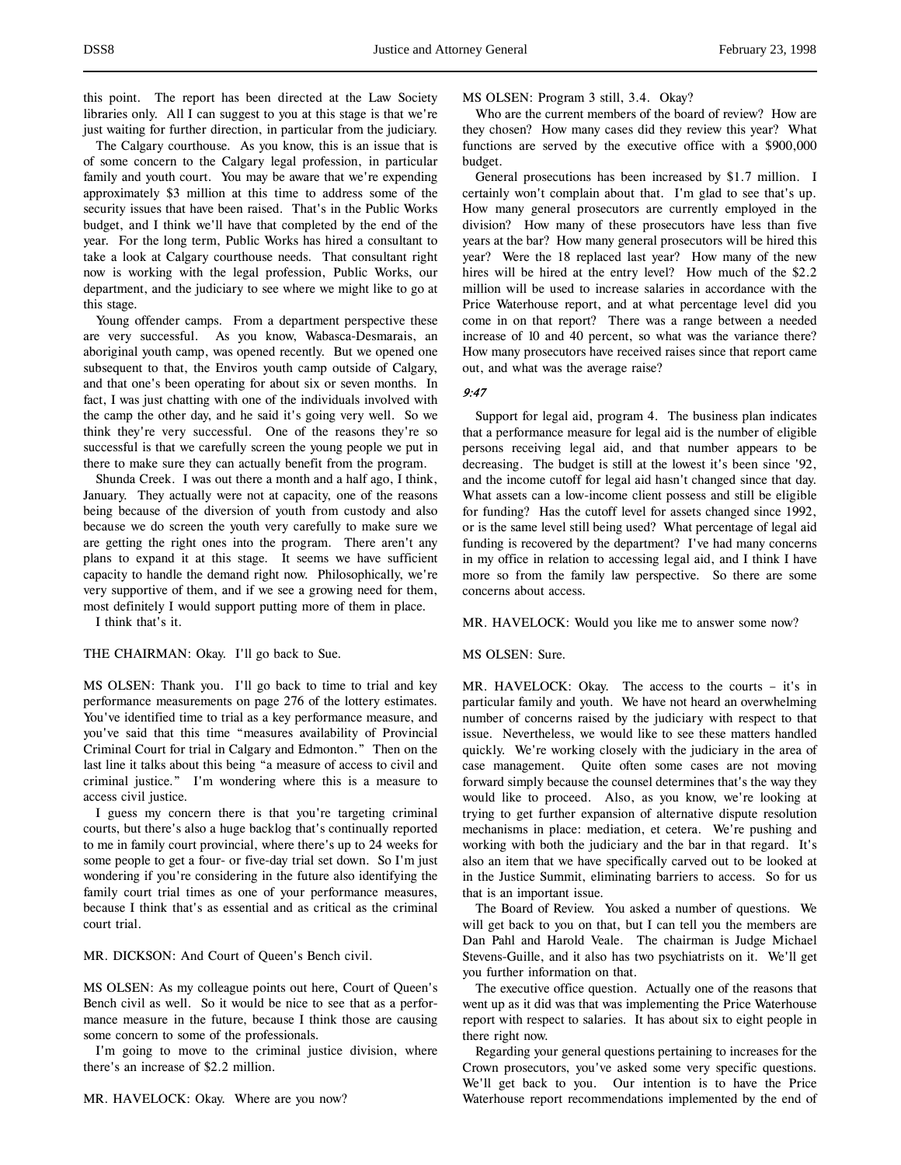this point. The report has been directed at the Law Society libraries only. All I can suggest to you at this stage is that we're just waiting for further direction, in particular from the judiciary.

The Calgary courthouse. As you know, this is an issue that is of some concern to the Calgary legal profession, in particular family and youth court. You may be aware that we're expending approximately \$3 million at this time to address some of the security issues that have been raised. That's in the Public Works budget, and I think we'll have that completed by the end of the year. For the long term, Public Works has hired a consultant to take a look at Calgary courthouse needs. That consultant right now is working with the legal profession, Public Works, our department, and the judiciary to see where we might like to go at this stage.

Young offender camps. From a department perspective these are very successful. As you know, Wabasca-Desmarais, an aboriginal youth camp, was opened recently. But we opened one subsequent to that, the Enviros youth camp outside of Calgary, and that one's been operating for about six or seven months. In fact, I was just chatting with one of the individuals involved with the camp the other day, and he said it's going very well. So we think they're very successful. One of the reasons they're so successful is that we carefully screen the young people we put in there to make sure they can actually benefit from the program.

Shunda Creek. I was out there a month and a half ago, I think, January. They actually were not at capacity, one of the reasons being because of the diversion of youth from custody and also because we do screen the youth very carefully to make sure we are getting the right ones into the program. There aren't any plans to expand it at this stage. It seems we have sufficient capacity to handle the demand right now. Philosophically, we're very supportive of them, and if we see a growing need for them, most definitely I would support putting more of them in place.

I think that's it.

THE CHAIRMAN: Okay. I'll go back to Sue.

MS OLSEN: Thank you. I'll go back to time to trial and key performance measurements on page 276 of the lottery estimates. You've identified time to trial as a key performance measure, and you've said that this time "measures availability of Provincial Criminal Court for trial in Calgary and Edmonton." Then on the last line it talks about this being "a measure of access to civil and criminal justice." I'm wondering where this is a measure to access civil justice.

I guess my concern there is that you're targeting criminal courts, but there's also a huge backlog that's continually reported to me in family court provincial, where there's up to 24 weeks for some people to get a four- or five-day trial set down. So I'm just wondering if you're considering in the future also identifying the family court trial times as one of your performance measures, because I think that's as essential and as critical as the criminal court trial.

MR. DICKSON: And Court of Queen's Bench civil.

MS OLSEN: As my colleague points out here, Court of Queen's Bench civil as well. So it would be nice to see that as a performance measure in the future, because I think those are causing some concern to some of the professionals.

I'm going to move to the criminal justice division, where there's an increase of \$2.2 million.

MS OLSEN: Program 3 still, 3.4. Okay?

Who are the current members of the board of review? How are they chosen? How many cases did they review this year? What functions are served by the executive office with a \$900,000 budget.

General prosecutions has been increased by \$1.7 million. I certainly won't complain about that. I'm glad to see that's up. How many general prosecutors are currently employed in the division? How many of these prosecutors have less than five years at the bar? How many general prosecutors will be hired this year? Were the 18 replaced last year? How many of the new hires will be hired at the entry level? How much of the \$2.2 million will be used to increase salaries in accordance with the Price Waterhouse report, and at what percentage level did you come in on that report? There was a range between a needed increase of 10 and 40 percent, so what was the variance there? How many prosecutors have received raises since that report came out, and what was the average raise?

### 9:47

Support for legal aid, program 4. The business plan indicates that a performance measure for legal aid is the number of eligible persons receiving legal aid, and that number appears to be decreasing. The budget is still at the lowest it's been since '92, and the income cutoff for legal aid hasn't changed since that day. What assets can a low-income client possess and still be eligible for funding? Has the cutoff level for assets changed since 1992, or is the same level still being used? What percentage of legal aid funding is recovered by the department? I've had many concerns in my office in relation to accessing legal aid, and I think I have more so from the family law perspective. So there are some concerns about access.

MR. HAVELOCK: Would you like me to answer some now?

MS OLSEN: Sure.

MR. HAVELOCK: Okay. The access to the courts – it's in particular family and youth. We have not heard an overwhelming number of concerns raised by the judiciary with respect to that issue. Nevertheless, we would like to see these matters handled quickly. We're working closely with the judiciary in the area of case management. Quite often some cases are not moving forward simply because the counsel determines that's the way they would like to proceed. Also, as you know, we're looking at trying to get further expansion of alternative dispute resolution mechanisms in place: mediation, et cetera. We're pushing and working with both the judiciary and the bar in that regard. It's also an item that we have specifically carved out to be looked at in the Justice Summit, eliminating barriers to access. So for us that is an important issue.

The Board of Review. You asked a number of questions. We will get back to you on that, but I can tell you the members are Dan Pahl and Harold Veale. The chairman is Judge Michael Stevens-Guille, and it also has two psychiatrists on it. We'll get you further information on that.

The executive office question. Actually one of the reasons that went up as it did was that was implementing the Price Waterhouse report with respect to salaries. It has about six to eight people in there right now.

Regarding your general questions pertaining to increases for the Crown prosecutors, you've asked some very specific questions. We'll get back to you. Our intention is to have the Price Waterhouse report recommendations implemented by the end of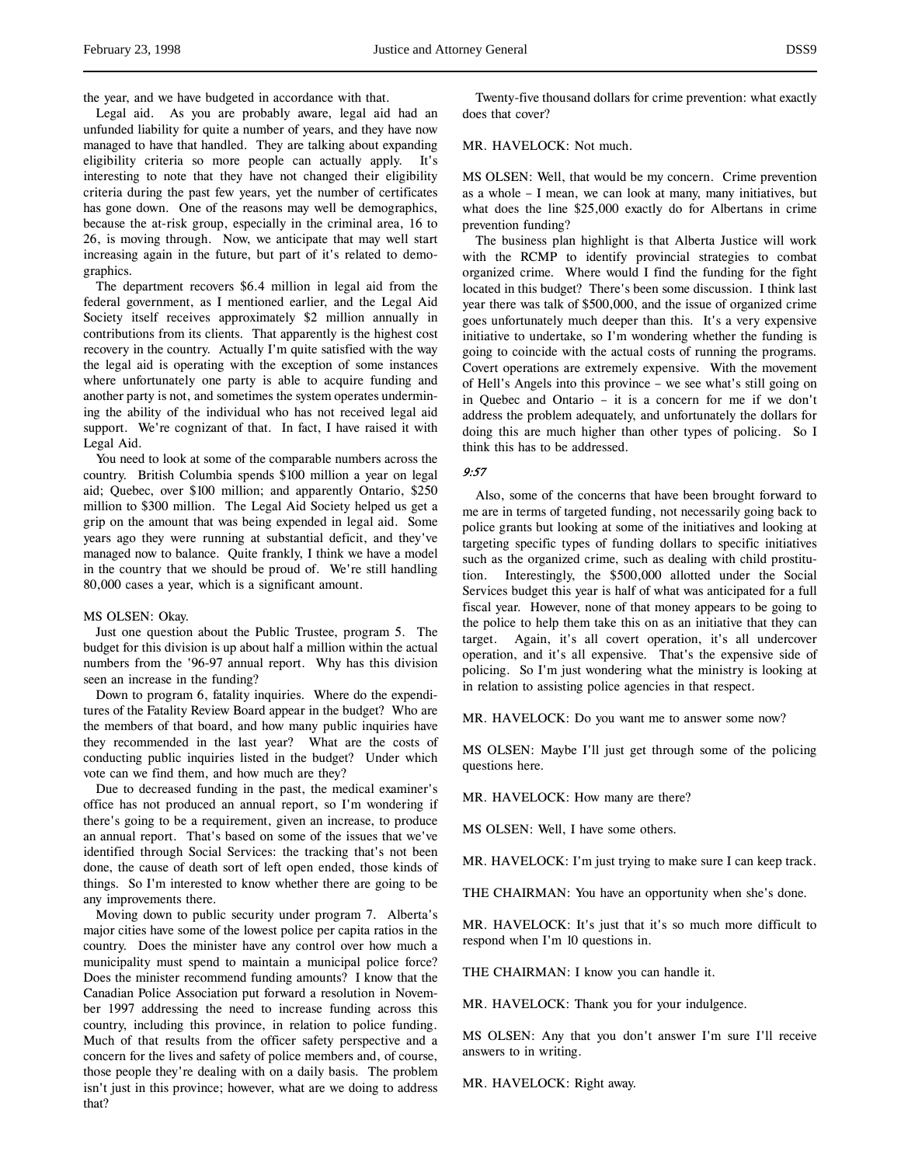the year, and we have budgeted in accordance with that.

Legal aid. As you are probably aware, legal aid had an unfunded liability for quite a number of years, and they have now managed to have that handled. They are talking about expanding eligibility criteria so more people can actually apply. It's interesting to note that they have not changed their eligibility criteria during the past few years, yet the number of certificates has gone down. One of the reasons may well be demographics, because the at-risk group, especially in the criminal area, 16 to 26, is moving through. Now, we anticipate that may well start increasing again in the future, but part of it's related to demographics.

The department recovers \$6.4 million in legal aid from the federal government, as I mentioned earlier, and the Legal Aid Society itself receives approximately \$2 million annually in contributions from its clients. That apparently is the highest cost recovery in the country. Actually I'm quite satisfied with the way the legal aid is operating with the exception of some instances where unfortunately one party is able to acquire funding and another party is not, and sometimes the system operates undermining the ability of the individual who has not received legal aid support. We're cognizant of that. In fact, I have raised it with Legal Aid.

You need to look at some of the comparable numbers across the country. British Columbia spends \$100 million a year on legal aid; Quebec, over \$100 million; and apparently Ontario, \$250 million to \$300 million. The Legal Aid Society helped us get a grip on the amount that was being expended in legal aid. Some years ago they were running at substantial deficit, and they've managed now to balance. Quite frankly, I think we have a model in the country that we should be proud of. We're still handling 80,000 cases a year, which is a significant amount.

#### MS OLSEN: Okay.

Just one question about the Public Trustee, program 5. The budget for this division is up about half a million within the actual numbers from the '96-97 annual report. Why has this division seen an increase in the funding?

Down to program 6, fatality inquiries. Where do the expenditures of the Fatality Review Board appear in the budget? Who are the members of that board, and how many public inquiries have they recommended in the last year? What are the costs of conducting public inquiries listed in the budget? Under which vote can we find them, and how much are they?

Due to decreased funding in the past, the medical examiner's office has not produced an annual report, so I'm wondering if there's going to be a requirement, given an increase, to produce an annual report. That's based on some of the issues that we've identified through Social Services: the tracking that's not been done, the cause of death sort of left open ended, those kinds of things. So I'm interested to know whether there are going to be any improvements there.

Moving down to public security under program 7. Alberta's major cities have some of the lowest police per capita ratios in the country. Does the minister have any control over how much a municipality must spend to maintain a municipal police force? Does the minister recommend funding amounts? I know that the Canadian Police Association put forward a resolution in November 1997 addressing the need to increase funding across this country, including this province, in relation to police funding. Much of that results from the officer safety perspective and a concern for the lives and safety of police members and, of course, those people they're dealing with on a daily basis. The problem isn't just in this province; however, what are we doing to address that?

Twenty-five thousand dollars for crime prevention: what exactly does that cover?

# MR. HAVELOCK: Not much.

MS OLSEN: Well, that would be my concern. Crime prevention as a whole – I mean, we can look at many, many initiatives, but what does the line \$25,000 exactly do for Albertans in crime prevention funding?

The business plan highlight is that Alberta Justice will work with the RCMP to identify provincial strategies to combat organized crime. Where would I find the funding for the fight located in this budget? There's been some discussion. I think last year there was talk of \$500,000, and the issue of organized crime goes unfortunately much deeper than this. It's a very expensive initiative to undertake, so I'm wondering whether the funding is going to coincide with the actual costs of running the programs. Covert operations are extremely expensive. With the movement of Hell's Angels into this province – we see what's still going on in Quebec and Ontario – it is a concern for me if we don't address the problem adequately, and unfortunately the dollars for doing this are much higher than other types of policing. So I think this has to be addressed.

#### 9:57

Also, some of the concerns that have been brought forward to me are in terms of targeted funding, not necessarily going back to police grants but looking at some of the initiatives and looking at targeting specific types of funding dollars to specific initiatives such as the organized crime, such as dealing with child prostitution. Interestingly, the \$500,000 allotted under the Social Services budget this year is half of what was anticipated for a full fiscal year. However, none of that money appears to be going to the police to help them take this on as an initiative that they can target. Again, it's all covert operation, it's all undercover operation, and it's all expensive. That's the expensive side of policing. So I'm just wondering what the ministry is looking at in relation to assisting police agencies in that respect.

MR. HAVELOCK: Do you want me to answer some now?

MS OLSEN: Maybe I'll just get through some of the policing questions here.

MR. HAVELOCK: How many are there?

MS OLSEN: Well, I have some others.

MR. HAVELOCK: I'm just trying to make sure I can keep track.

THE CHAIRMAN: You have an opportunity when she's done.

MR. HAVELOCK: It's just that it's so much more difficult to respond when I'm 10 questions in.

THE CHAIRMAN: I know you can handle it.

MR. HAVELOCK: Thank you for your indulgence.

MS OLSEN: Any that you don't answer I'm sure I'll receive answers to in writing.

MR. HAVELOCK: Right away.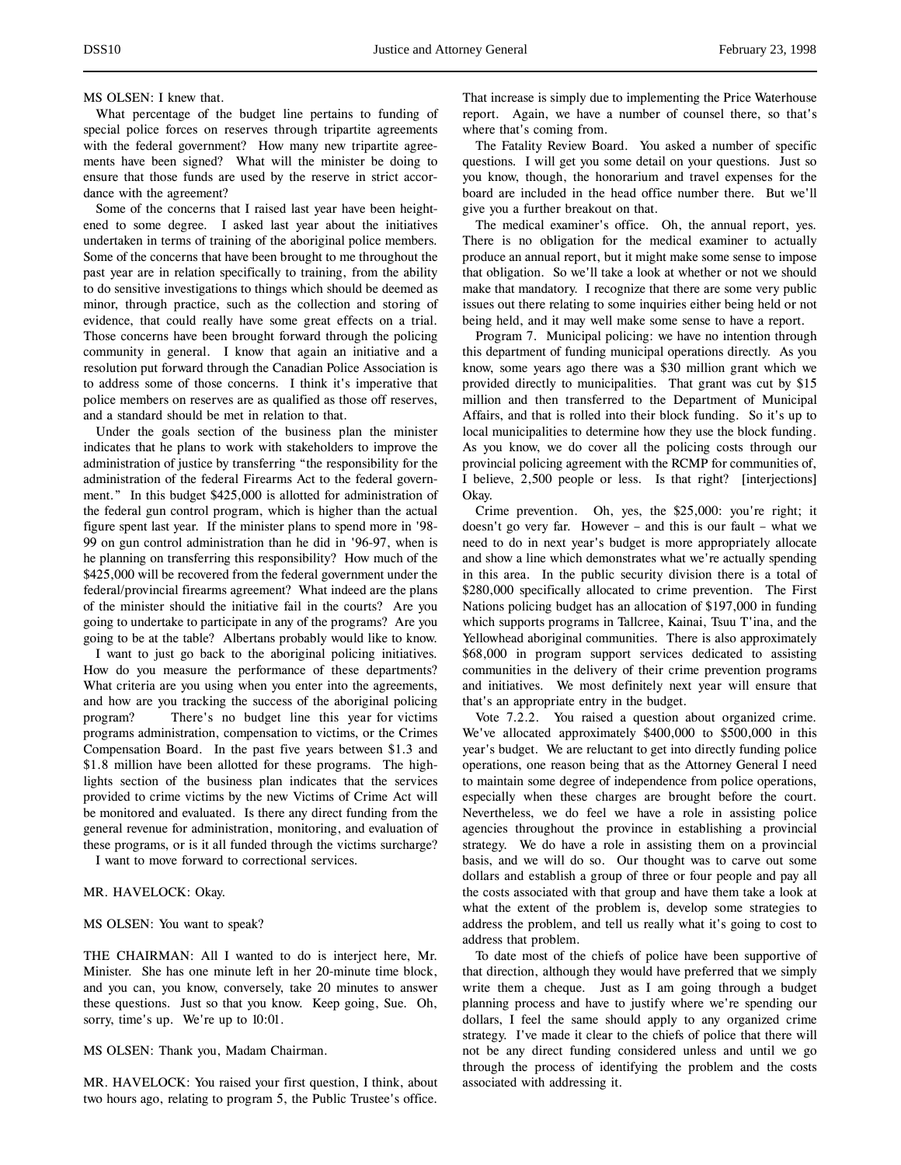### MS OLSEN: I knew that.

What percentage of the budget line pertains to funding of special police forces on reserves through tripartite agreements with the federal government? How many new tripartite agreements have been signed? What will the minister be doing to ensure that those funds are used by the reserve in strict accordance with the agreement?

Some of the concerns that I raised last year have been heightened to some degree. I asked last year about the initiatives undertaken in terms of training of the aboriginal police members. Some of the concerns that have been brought to me throughout the past year are in relation specifically to training, from the ability to do sensitive investigations to things which should be deemed as minor, through practice, such as the collection and storing of evidence, that could really have some great effects on a trial. Those concerns have been brought forward through the policing community in general. I know that again an initiative and a resolution put forward through the Canadian Police Association is to address some of those concerns. I think it's imperative that police members on reserves are as qualified as those off reserves, and a standard should be met in relation to that.

Under the goals section of the business plan the minister indicates that he plans to work with stakeholders to improve the administration of justice by transferring "the responsibility for the administration of the federal Firearms Act to the federal government." In this budget \$425,000 is allotted for administration of the federal gun control program, which is higher than the actual figure spent last year. If the minister plans to spend more in '98- 99 on gun control administration than he did in '96-97, when is he planning on transferring this responsibility? How much of the \$425,000 will be recovered from the federal government under the federal/provincial firearms agreement? What indeed are the plans of the minister should the initiative fail in the courts? Are you going to undertake to participate in any of the programs? Are you going to be at the table? Albertans probably would like to know.

I want to just go back to the aboriginal policing initiatives. How do you measure the performance of these departments? What criteria are you using when you enter into the agreements, and how are you tracking the success of the aboriginal policing program? There's no budget line this year for victims programs administration, compensation to victims, or the Crimes Compensation Board. In the past five years between \$1.3 and \$1.8 million have been allotted for these programs. The highlights section of the business plan indicates that the services provided to crime victims by the new Victims of Crime Act will be monitored and evaluated. Is there any direct funding from the general revenue for administration, monitoring, and evaluation of these programs, or is it all funded through the victims surcharge?

I want to move forward to correctional services.

### MR. HAVELOCK: Okay.

#### MS OLSEN: You want to speak?

THE CHAIRMAN: All I wanted to do is interject here, Mr. Minister. She has one minute left in her 20-minute time block, and you can, you know, conversely, take 20 minutes to answer these questions. Just so that you know. Keep going, Sue. Oh, sorry, time's up. We're up to 10:01.

MS OLSEN: Thank you, Madam Chairman.

MR. HAVELOCK: You raised your first question, I think, about two hours ago, relating to program 5, the Public Trustee's office.

That increase is simply due to implementing the Price Waterhouse report. Again, we have a number of counsel there, so that's where that's coming from.

The Fatality Review Board. You asked a number of specific questions. I will get you some detail on your questions. Just so you know, though, the honorarium and travel expenses for the board are included in the head office number there. But we'll give you a further breakout on that.

The medical examiner's office. Oh, the annual report, yes. There is no obligation for the medical examiner to actually produce an annual report, but it might make some sense to impose that obligation. So we'll take a look at whether or not we should make that mandatory. I recognize that there are some very public issues out there relating to some inquiries either being held or not being held, and it may well make some sense to have a report.

Program 7. Municipal policing: we have no intention through this department of funding municipal operations directly. As you know, some years ago there was a \$30 million grant which we provided directly to municipalities. That grant was cut by \$15 million and then transferred to the Department of Municipal Affairs, and that is rolled into their block funding. So it's up to local municipalities to determine how they use the block funding. As you know, we do cover all the policing costs through our provincial policing agreement with the RCMP for communities of, I believe, 2,500 people or less. Is that right? [interjections] Okay.

Crime prevention. Oh, yes, the \$25,000: you're right; it doesn't go very far. However – and this is our fault – what we need to do in next year's budget is more appropriately allocate and show a line which demonstrates what we're actually spending in this area. In the public security division there is a total of \$280,000 specifically allocated to crime prevention. The First Nations policing budget has an allocation of \$197,000 in funding which supports programs in Tallcree, Kainai, Tsuu T'ina, and the Yellowhead aboriginal communities. There is also approximately \$68,000 in program support services dedicated to assisting communities in the delivery of their crime prevention programs and initiatives. We most definitely next year will ensure that that's an appropriate entry in the budget.

Vote 7.2.2. You raised a question about organized crime. We've allocated approximately \$400,000 to \$500,000 in this year's budget. We are reluctant to get into directly funding police operations, one reason being that as the Attorney General I need to maintain some degree of independence from police operations, especially when these charges are brought before the court. Nevertheless, we do feel we have a role in assisting police agencies throughout the province in establishing a provincial strategy. We do have a role in assisting them on a provincial basis, and we will do so. Our thought was to carve out some dollars and establish a group of three or four people and pay all the costs associated with that group and have them take a look at what the extent of the problem is, develop some strategies to address the problem, and tell us really what it's going to cost to address that problem.

To date most of the chiefs of police have been supportive of that direction, although they would have preferred that we simply write them a cheque. Just as I am going through a budget planning process and have to justify where we're spending our dollars, I feel the same should apply to any organized crime strategy. I've made it clear to the chiefs of police that there will not be any direct funding considered unless and until we go through the process of identifying the problem and the costs associated with addressing it.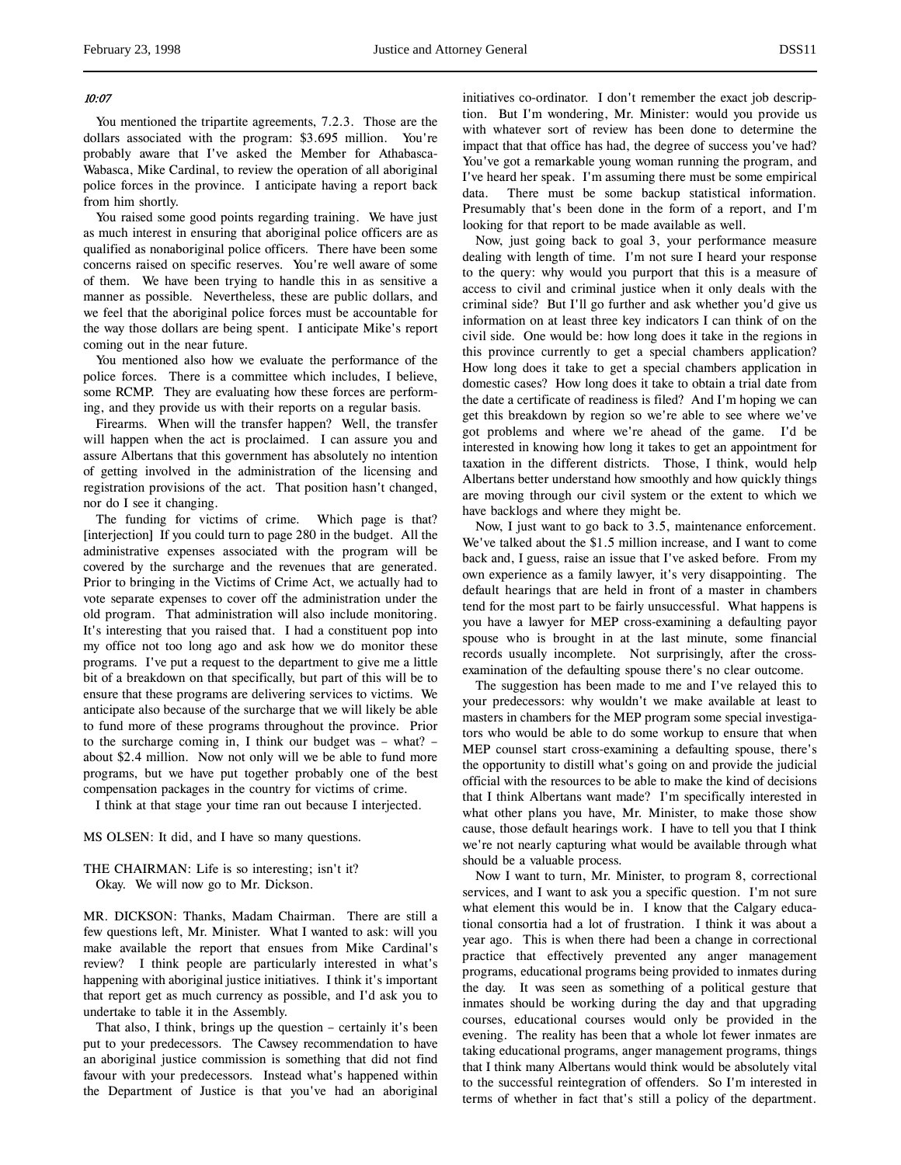#### 10:07

You mentioned the tripartite agreements, 7.2.3. Those are the dollars associated with the program: \$3.695 million. You're probably aware that I've asked the Member for Athabasca-Wabasca, Mike Cardinal, to review the operation of all aboriginal police forces in the province. I anticipate having a report back from him shortly.

You raised some good points regarding training. We have just as much interest in ensuring that aboriginal police officers are as qualified as nonaboriginal police officers. There have been some concerns raised on specific reserves. You're well aware of some of them. We have been trying to handle this in as sensitive a manner as possible. Nevertheless, these are public dollars, and we feel that the aboriginal police forces must be accountable for the way those dollars are being spent. I anticipate Mike's report coming out in the near future.

You mentioned also how we evaluate the performance of the police forces. There is a committee which includes, I believe, some RCMP. They are evaluating how these forces are performing, and they provide us with their reports on a regular basis.

Firearms. When will the transfer happen? Well, the transfer will happen when the act is proclaimed. I can assure you and assure Albertans that this government has absolutely no intention of getting involved in the administration of the licensing and registration provisions of the act. That position hasn't changed, nor do I see it changing.

The funding for victims of crime. Which page is that? [interjection] If you could turn to page 280 in the budget. All the administrative expenses associated with the program will be covered by the surcharge and the revenues that are generated. Prior to bringing in the Victims of Crime Act, we actually had to vote separate expenses to cover off the administration under the old program. That administration will also include monitoring. It's interesting that you raised that. I had a constituent pop into my office not too long ago and ask how we do monitor these programs. I've put a request to the department to give me a little bit of a breakdown on that specifically, but part of this will be to ensure that these programs are delivering services to victims. We anticipate also because of the surcharge that we will likely be able to fund more of these programs throughout the province. Prior to the surcharge coming in, I think our budget was – what? – about \$2.4 million. Now not only will we be able to fund more programs, but we have put together probably one of the best compensation packages in the country for victims of crime.

I think at that stage your time ran out because I interjected.

MS OLSEN: It did, and I have so many questions.

THE CHAIRMAN: Life is so interesting; isn't it? Okay. We will now go to Mr. Dickson.

MR. DICKSON: Thanks, Madam Chairman. There are still a few questions left, Mr. Minister. What I wanted to ask: will you make available the report that ensues from Mike Cardinal's review? I think people are particularly interested in what's happening with aboriginal justice initiatives. I think it's important that report get as much currency as possible, and I'd ask you to undertake to table it in the Assembly.

That also, I think, brings up the question – certainly it's been put to your predecessors. The Cawsey recommendation to have an aboriginal justice commission is something that did not find favour with your predecessors. Instead what's happened within the Department of Justice is that you've had an aboriginal initiatives co-ordinator. I don't remember the exact job description. But I'm wondering, Mr. Minister: would you provide us with whatever sort of review has been done to determine the impact that that office has had, the degree of success you've had? You've got a remarkable young woman running the program, and I've heard her speak. I'm assuming there must be some empirical data. There must be some backup statistical information. Presumably that's been done in the form of a report, and I'm looking for that report to be made available as well.

Now, just going back to goal 3, your performance measure dealing with length of time. I'm not sure I heard your response to the query: why would you purport that this is a measure of access to civil and criminal justice when it only deals with the criminal side? But I'll go further and ask whether you'd give us information on at least three key indicators I can think of on the civil side. One would be: how long does it take in the regions in this province currently to get a special chambers application? How long does it take to get a special chambers application in domestic cases? How long does it take to obtain a trial date from the date a certificate of readiness is filed? And I'm hoping we can get this breakdown by region so we're able to see where we've got problems and where we're ahead of the game. I'd be interested in knowing how long it takes to get an appointment for taxation in the different districts. Those, I think, would help Albertans better understand how smoothly and how quickly things are moving through our civil system or the extent to which we have backlogs and where they might be.

Now, I just want to go back to 3.5, maintenance enforcement. We've talked about the \$1.5 million increase, and I want to come back and, I guess, raise an issue that I've asked before. From my own experience as a family lawyer, it's very disappointing. The default hearings that are held in front of a master in chambers tend for the most part to be fairly unsuccessful. What happens is you have a lawyer for MEP cross-examining a defaulting payor spouse who is brought in at the last minute, some financial records usually incomplete. Not surprisingly, after the crossexamination of the defaulting spouse there's no clear outcome.

The suggestion has been made to me and I've relayed this to your predecessors: why wouldn't we make available at least to masters in chambers for the MEP program some special investigators who would be able to do some workup to ensure that when MEP counsel start cross-examining a defaulting spouse, there's the opportunity to distill what's going on and provide the judicial official with the resources to be able to make the kind of decisions that I think Albertans want made? I'm specifically interested in what other plans you have, Mr. Minister, to make those show cause, those default hearings work. I have to tell you that I think we're not nearly capturing what would be available through what should be a valuable process.

Now I want to turn, Mr. Minister, to program 8, correctional services, and I want to ask you a specific question. I'm not sure what element this would be in. I know that the Calgary educational consortia had a lot of frustration. I think it was about a year ago. This is when there had been a change in correctional practice that effectively prevented any anger management programs, educational programs being provided to inmates during the day. It was seen as something of a political gesture that inmates should be working during the day and that upgrading courses, educational courses would only be provided in the evening. The reality has been that a whole lot fewer inmates are taking educational programs, anger management programs, things that I think many Albertans would think would be absolutely vital to the successful reintegration of offenders. So I'm interested in terms of whether in fact that's still a policy of the department.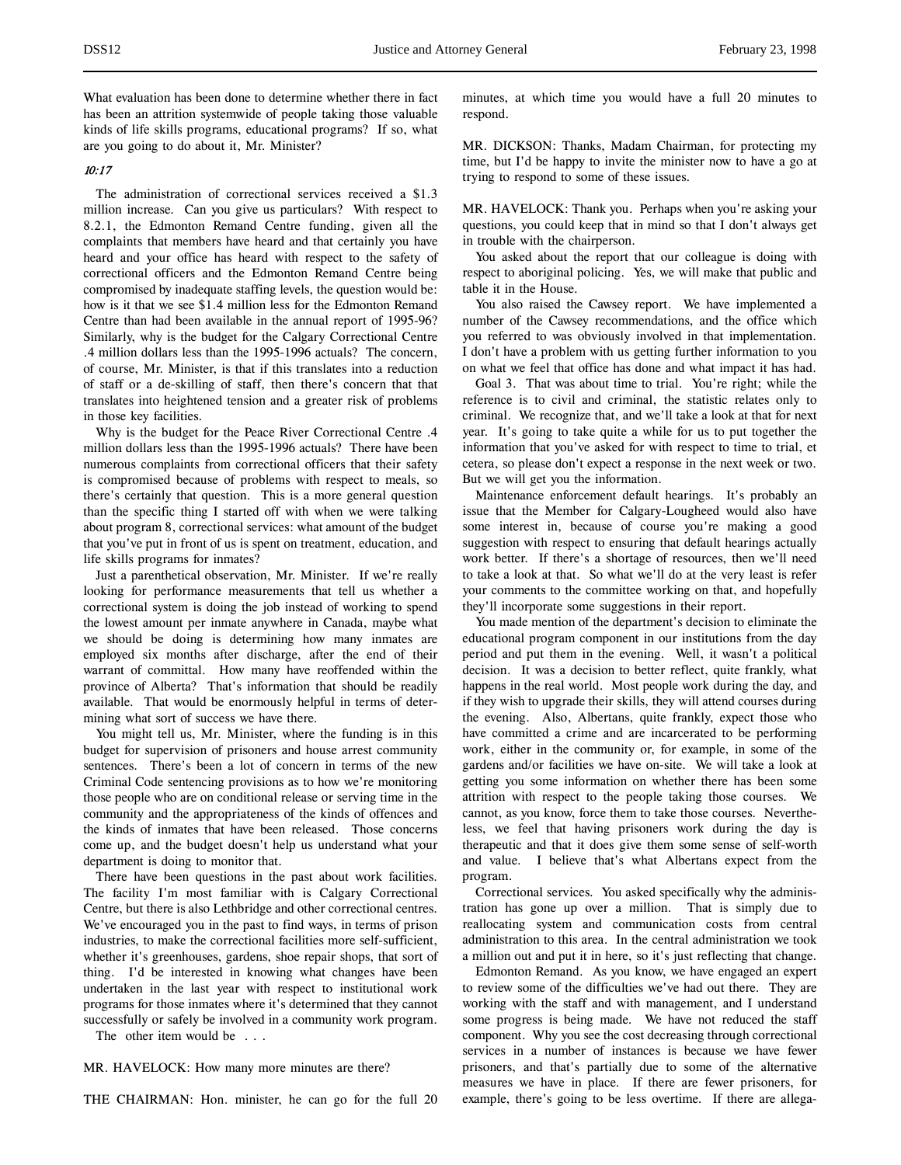What evaluation has been done to determine whether there in fact has been an attrition systemwide of people taking those valuable kinds of life skills programs, educational programs? If so, what are you going to do about it, Mr. Minister?

## 10:17

The administration of correctional services received a \$1.3 million increase. Can you give us particulars? With respect to 8.2.1, the Edmonton Remand Centre funding, given all the complaints that members have heard and that certainly you have heard and your office has heard with respect to the safety of correctional officers and the Edmonton Remand Centre being compromised by inadequate staffing levels, the question would be: how is it that we see \$1.4 million less for the Edmonton Remand Centre than had been available in the annual report of 1995-96? Similarly, why is the budget for the Calgary Correctional Centre .4 million dollars less than the 1995-1996 actuals? The concern, of course, Mr. Minister, is that if this translates into a reduction of staff or a de-skilling of staff, then there's concern that that translates into heightened tension and a greater risk of problems in those key facilities.

Why is the budget for the Peace River Correctional Centre .4 million dollars less than the 1995-1996 actuals? There have been numerous complaints from correctional officers that their safety is compromised because of problems with respect to meals, so there's certainly that question. This is a more general question than the specific thing I started off with when we were talking about program 8, correctional services: what amount of the budget that you've put in front of us is spent on treatment, education, and life skills programs for inmates?

Just a parenthetical observation, Mr. Minister. If we're really looking for performance measurements that tell us whether a correctional system is doing the job instead of working to spend the lowest amount per inmate anywhere in Canada, maybe what we should be doing is determining how many inmates are employed six months after discharge, after the end of their warrant of committal. How many have reoffended within the province of Alberta? That's information that should be readily available. That would be enormously helpful in terms of determining what sort of success we have there.

You might tell us, Mr. Minister, where the funding is in this budget for supervision of prisoners and house arrest community sentences. There's been a lot of concern in terms of the new Criminal Code sentencing provisions as to how we're monitoring those people who are on conditional release or serving time in the community and the appropriateness of the kinds of offences and the kinds of inmates that have been released. Those concerns come up, and the budget doesn't help us understand what your department is doing to monitor that.

There have been questions in the past about work facilities. The facility I'm most familiar with is Calgary Correctional Centre, but there is also Lethbridge and other correctional centres. We've encouraged you in the past to find ways, in terms of prison industries, to make the correctional facilities more self-sufficient, whether it's greenhouses, gardens, shoe repair shops, that sort of thing. I'd be interested in knowing what changes have been undertaken in the last year with respect to institutional work programs for those inmates where it's determined that they cannot successfully or safely be involved in a community work program.

The other item would be . . .

#### MR. HAVELOCK: How many more minutes are there?

THE CHAIRMAN: Hon. minister, he can go for the full 20

minutes, at which time you would have a full 20 minutes to respond.

MR. DICKSON: Thanks, Madam Chairman, for protecting my time, but I'd be happy to invite the minister now to have a go at trying to respond to some of these issues.

MR. HAVELOCK: Thank you. Perhaps when you're asking your questions, you could keep that in mind so that I don't always get in trouble with the chairperson.

You asked about the report that our colleague is doing with respect to aboriginal policing. Yes, we will make that public and table it in the House.

You also raised the Cawsey report. We have implemented a number of the Cawsey recommendations, and the office which you referred to was obviously involved in that implementation. I don't have a problem with us getting further information to you on what we feel that office has done and what impact it has had.

Goal 3. That was about time to trial. You're right; while the reference is to civil and criminal, the statistic relates only to criminal. We recognize that, and we'll take a look at that for next year. It's going to take quite a while for us to put together the information that you've asked for with respect to time to trial, et cetera, so please don't expect a response in the next week or two. But we will get you the information.

Maintenance enforcement default hearings. It's probably an issue that the Member for Calgary-Lougheed would also have some interest in, because of course you're making a good suggestion with respect to ensuring that default hearings actually work better. If there's a shortage of resources, then we'll need to take a look at that. So what we'll do at the very least is refer your comments to the committee working on that, and hopefully they'll incorporate some suggestions in their report.

You made mention of the department's decision to eliminate the educational program component in our institutions from the day period and put them in the evening. Well, it wasn't a political decision. It was a decision to better reflect, quite frankly, what happens in the real world. Most people work during the day, and if they wish to upgrade their skills, they will attend courses during the evening. Also, Albertans, quite frankly, expect those who have committed a crime and are incarcerated to be performing work, either in the community or, for example, in some of the gardens and/or facilities we have on-site. We will take a look at getting you some information on whether there has been some attrition with respect to the people taking those courses. We cannot, as you know, force them to take those courses. Nevertheless, we feel that having prisoners work during the day is therapeutic and that it does give them some sense of self-worth and value. I believe that's what Albertans expect from the program.

Correctional services. You asked specifically why the administration has gone up over a million. That is simply due to reallocating system and communication costs from central administration to this area. In the central administration we took a million out and put it in here, so it's just reflecting that change.

Edmonton Remand. As you know, we have engaged an expert to review some of the difficulties we've had out there. They are working with the staff and with management, and I understand some progress is being made. We have not reduced the staff component. Why you see the cost decreasing through correctional services in a number of instances is because we have fewer prisoners, and that's partially due to some of the alternative measures we have in place. If there are fewer prisoners, for example, there's going to be less overtime. If there are allega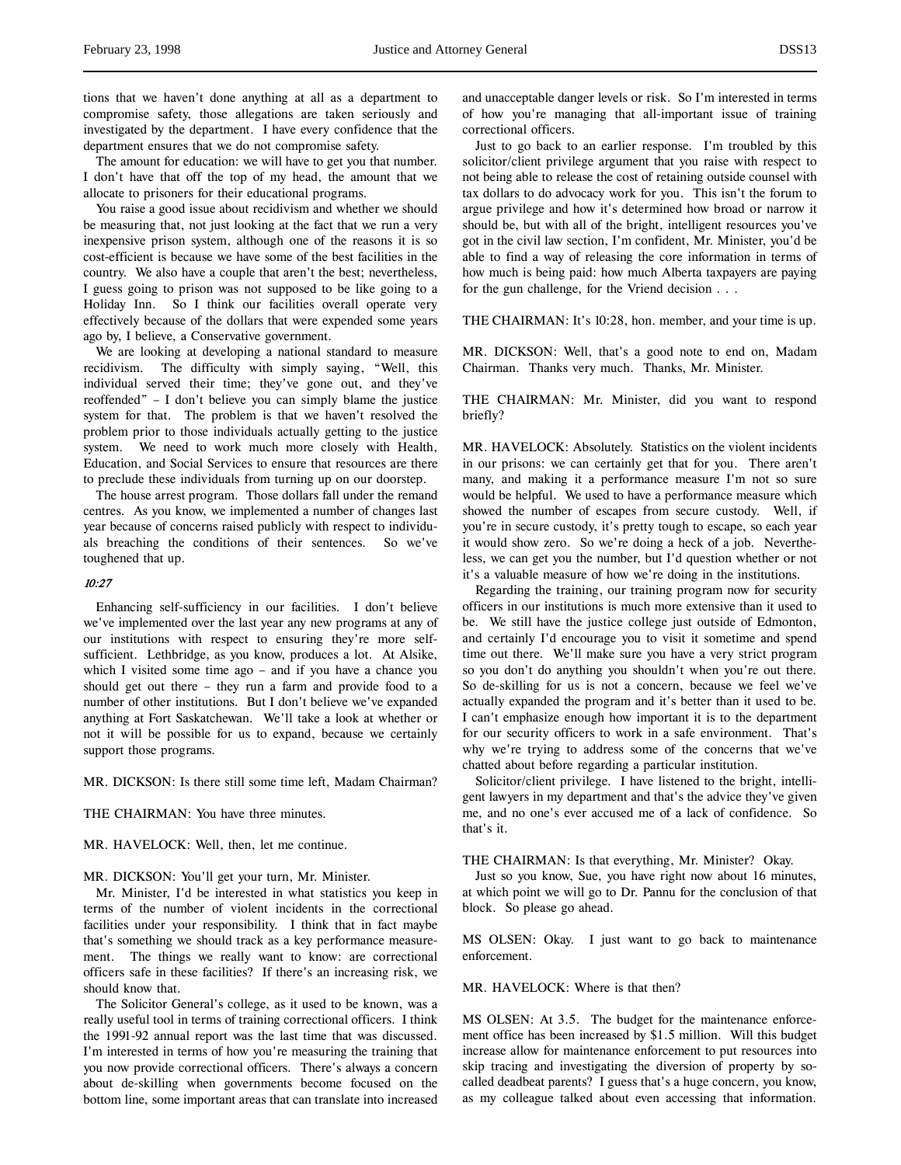tions that we haven't done anything at all as a department to compromise safety, those allegations are taken seriously and investigated by the department. I have every confidence that the department ensures that we do not compromise safety.

The amount for education: we will have to get you that number. I don't have that off the top of my head, the amount that we allocate to prisoners for their educational programs.

You raise a good issue about recidivism and whether we should be measuring that, not just looking at the fact that we run a very inexpensive prison system, although one of the reasons it is so cost-efficient is because we have some of the best facilities in the country. We also have a couple that aren't the best; nevertheless, I guess going to prison was not supposed to be like going to a Holiday Inn. So I think our facilities overall operate very effectively because of the dollars that were expended some years ago by, I believe, a Conservative government.

We are looking at developing a national standard to measure recidivism. The difficulty with simply saying, "Well, this individual served their time; they've gone out, and they've reoffended" – I don't believe you can simply blame the justice system for that. The problem is that we haven't resolved the problem prior to those individuals actually getting to the justice system. We need to work much more closely with Health, Education, and Social Services to ensure that resources are there to preclude these individuals from turning up on our doorstep.

The house arrest program. Those dollars fall under the remand centres. As you know, we implemented a number of changes last year because of concerns raised publicly with respect to individuals breaching the conditions of their sentences. So we've toughened that up.

### 10:27

Enhancing self-sufficiency in our facilities. I don't believe we've implemented over the last year any new programs at any of our institutions with respect to ensuring they're more selfsufficient. Lethbridge, as you know, produces a lot. At Alsike, which I visited some time ago – and if you have a chance you should get out there – they run a farm and provide food to a number of other institutions. But I don't believe we've expanded anything at Fort Saskatchewan. We'll take a look at whether or not it will be possible for us to expand, because we certainly support those programs.

MR. DICKSON: Is there still some time left, Madam Chairman?

THE CHAIRMAN: You have three minutes.

MR. HAVELOCK: Well, then, let me continue.

MR. DICKSON: You'll get your turn, Mr. Minister.

Mr. Minister, I'd be interested in what statistics you keep in terms of the number of violent incidents in the correctional facilities under your responsibility. I think that in fact maybe that's something we should track as a key performance measurement. The things we really want to know: are correctional officers safe in these facilities? If there's an increasing risk, we should know that.

The Solicitor General's college, as it used to be known, was a really useful tool in terms of training correctional officers. I think the 1991-92 annual report was the last time that was discussed. I'm interested in terms of how you're measuring the training that you now provide correctional officers. There's always a concern about de-skilling when governments become focused on the bottom line, some important areas that can translate into increased and unacceptable danger levels or risk. So I'm interested in terms of how you're managing that all-important issue of training correctional officers.

Just to go back to an earlier response. I'm troubled by this solicitor/client privilege argument that you raise with respect to not being able to release the cost of retaining outside counsel with tax dollars to do advocacy work for you. This isn't the forum to argue privilege and how it's determined how broad or narrow it should be, but with all of the bright, intelligent resources you've got in the civil law section, I'm confident, Mr. Minister, you'd be able to find a way of releasing the core information in terms of how much is being paid: how much Alberta taxpayers are paying for the gun challenge, for the Vriend decision . . .

THE CHAIRMAN: It's 10:28, hon. member, and your time is up.

MR. DICKSON: Well, that's a good note to end on, Madam Chairman. Thanks very much. Thanks, Mr. Minister.

THE CHAIRMAN: Mr. Minister, did you want to respond briefly?

MR. HAVELOCK: Absolutely. Statistics on the violent incidents in our prisons: we can certainly get that for you. There aren't many, and making it a performance measure I'm not so sure would be helpful. We used to have a performance measure which showed the number of escapes from secure custody. Well, if you're in secure custody, it's pretty tough to escape, so each year it would show zero. So we're doing a heck of a job. Nevertheless, we can get you the number, but I'd question whether or not it's a valuable measure of how we're doing in the institutions.

Regarding the training, our training program now for security officers in our institutions is much more extensive than it used to be. We still have the justice college just outside of Edmonton, and certainly I'd encourage you to visit it sometime and spend time out there. We'll make sure you have a very strict program so you don't do anything you shouldn't when you're out there. So de-skilling for us is not a concern, because we feel we've actually expanded the program and it's better than it used to be. I can't emphasize enough how important it is to the department for our security officers to work in a safe environment. That's why we're trying to address some of the concerns that we've chatted about before regarding a particular institution.

Solicitor/client privilege. I have listened to the bright, intelligent lawyers in my department and that's the advice they've given me, and no one's ever accused me of a lack of confidence. So that's it.

THE CHAIRMAN: Is that everything, Mr. Minister? Okay.

Just so you know, Sue, you have right now about 16 minutes, at which point we will go to Dr. Pannu for the conclusion of that block. So please go ahead.

MS OLSEN: Okay. I just want to go back to maintenance enforcement.

MR. HAVELOCK: Where is that then?

MS OLSEN: At 3.5. The budget for the maintenance enforcement office has been increased by \$1.5 million. Will this budget increase allow for maintenance enforcement to put resources into skip tracing and investigating the diversion of property by socalled deadbeat parents? I guess that's a huge concern, you know, as my colleague talked about even accessing that information.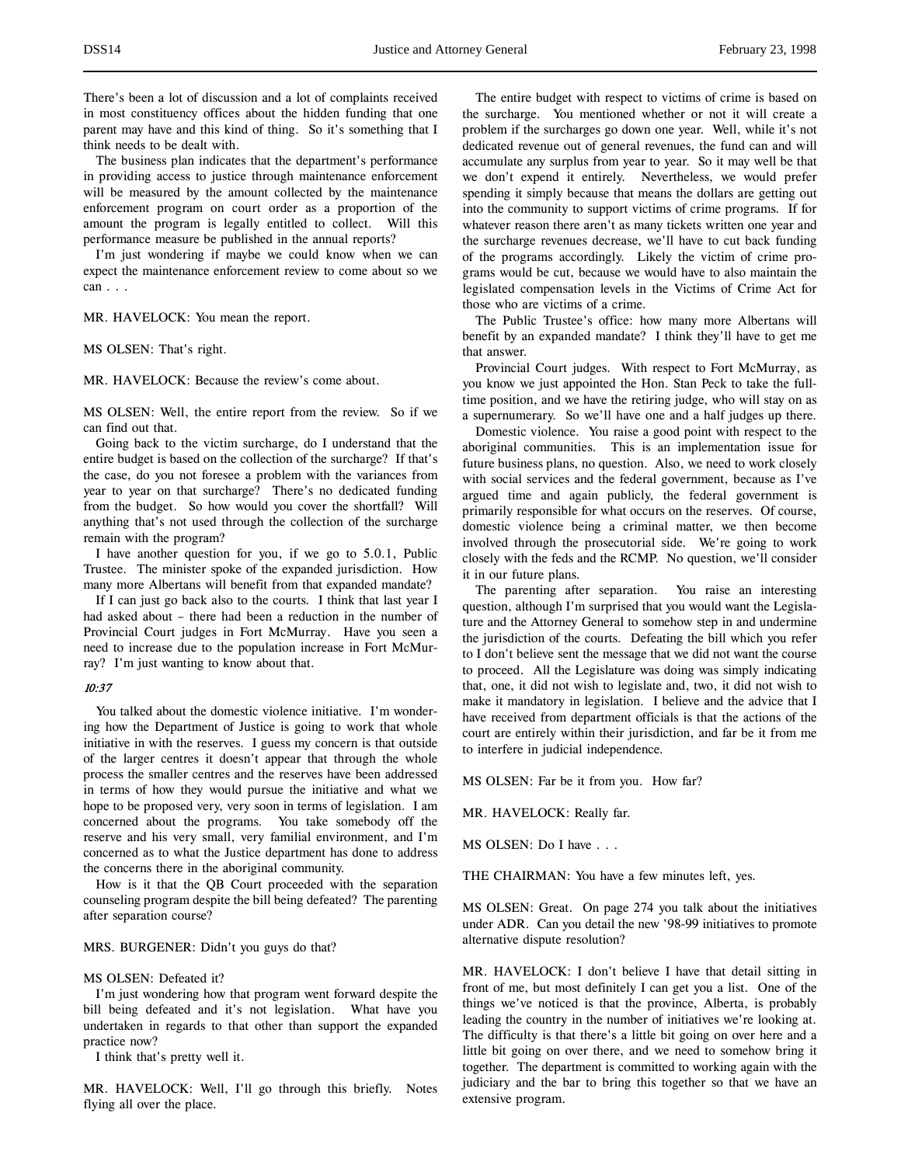There's been a lot of discussion and a lot of complaints received in most constituency offices about the hidden funding that one parent may have and this kind of thing. So it's something that I think needs to be dealt with.

The business plan indicates that the department's performance in providing access to justice through maintenance enforcement will be measured by the amount collected by the maintenance enforcement program on court order as a proportion of the amount the program is legally entitled to collect. Will this performance measure be published in the annual reports?

I'm just wondering if maybe we could know when we can expect the maintenance enforcement review to come about so we can . . .

MR. HAVELOCK: You mean the report.

MS OLSEN: That's right.

MR. HAVELOCK: Because the review's come about.

MS OLSEN: Well, the entire report from the review. So if we can find out that.

Going back to the victim surcharge, do I understand that the entire budget is based on the collection of the surcharge? If that's the case, do you not foresee a problem with the variances from year to year on that surcharge? There's no dedicated funding from the budget. So how would you cover the shortfall? Will anything that's not used through the collection of the surcharge remain with the program?

I have another question for you, if we go to 5.0.1, Public Trustee. The minister spoke of the expanded jurisdiction. How many more Albertans will benefit from that expanded mandate?

If I can just go back also to the courts. I think that last year I had asked about – there had been a reduction in the number of Provincial Court judges in Fort McMurray. Have you seen a need to increase due to the population increase in Fort McMurray? I'm just wanting to know about that.

## 10:37

You talked about the domestic violence initiative. I'm wondering how the Department of Justice is going to work that whole initiative in with the reserves. I guess my concern is that outside of the larger centres it doesn't appear that through the whole process the smaller centres and the reserves have been addressed in terms of how they would pursue the initiative and what we hope to be proposed very, very soon in terms of legislation. I am concerned about the programs. You take somebody off the reserve and his very small, very familial environment, and I'm concerned as to what the Justice department has done to address the concerns there in the aboriginal community.

How is it that the QB Court proceeded with the separation counseling program despite the bill being defeated? The parenting after separation course?

### MRS. BURGENER: Didn't you guys do that?

### MS OLSEN: Defeated it?

I'm just wondering how that program went forward despite the bill being defeated and it's not legislation. What have you undertaken in regards to that other than support the expanded practice now?

I think that's pretty well it.

MR. HAVELOCK: Well, I'll go through this briefly. Notes flying all over the place.

The entire budget with respect to victims of crime is based on the surcharge. You mentioned whether or not it will create a problem if the surcharges go down one year. Well, while it's not dedicated revenue out of general revenues, the fund can and will accumulate any surplus from year to year. So it may well be that we don't expend it entirely. Nevertheless, we would prefer spending it simply because that means the dollars are getting out into the community to support victims of crime programs. If for whatever reason there aren't as many tickets written one year and the surcharge revenues decrease, we'll have to cut back funding of the programs accordingly. Likely the victim of crime programs would be cut, because we would have to also maintain the legislated compensation levels in the Victims of Crime Act for those who are victims of a crime.

The Public Trustee's office: how many more Albertans will benefit by an expanded mandate? I think they'll have to get me that answer.

Provincial Court judges. With respect to Fort McMurray, as you know we just appointed the Hon. Stan Peck to take the fulltime position, and we have the retiring judge, who will stay on as a supernumerary. So we'll have one and a half judges up there.

Domestic violence. You raise a good point with respect to the aboriginal communities. This is an implementation issue for future business plans, no question. Also, we need to work closely with social services and the federal government, because as I've argued time and again publicly, the federal government is primarily responsible for what occurs on the reserves. Of course, domestic violence being a criminal matter, we then become involved through the prosecutorial side. We're going to work closely with the feds and the RCMP. No question, we'll consider it in our future plans.

The parenting after separation. You raise an interesting question, although I'm surprised that you would want the Legislature and the Attorney General to somehow step in and undermine the jurisdiction of the courts. Defeating the bill which you refer to I don't believe sent the message that we did not want the course to proceed. All the Legislature was doing was simply indicating that, one, it did not wish to legislate and, two, it did not wish to make it mandatory in legislation. I believe and the advice that I have received from department officials is that the actions of the court are entirely within their jurisdiction, and far be it from me to interfere in judicial independence.

MS OLSEN: Far be it from you. How far?

MR. HAVELOCK: Really far.

MS OLSEN: Do I have . . .

THE CHAIRMAN: You have a few minutes left, yes.

MS OLSEN: Great. On page 274 you talk about the initiatives under ADR. Can you detail the new '98-99 initiatives to promote alternative dispute resolution?

MR. HAVELOCK: I don't believe I have that detail sitting in front of me, but most definitely I can get you a list. One of the things we've noticed is that the province, Alberta, is probably leading the country in the number of initiatives we're looking at. The difficulty is that there's a little bit going on over here and a little bit going on over there, and we need to somehow bring it together. The department is committed to working again with the judiciary and the bar to bring this together so that we have an extensive program.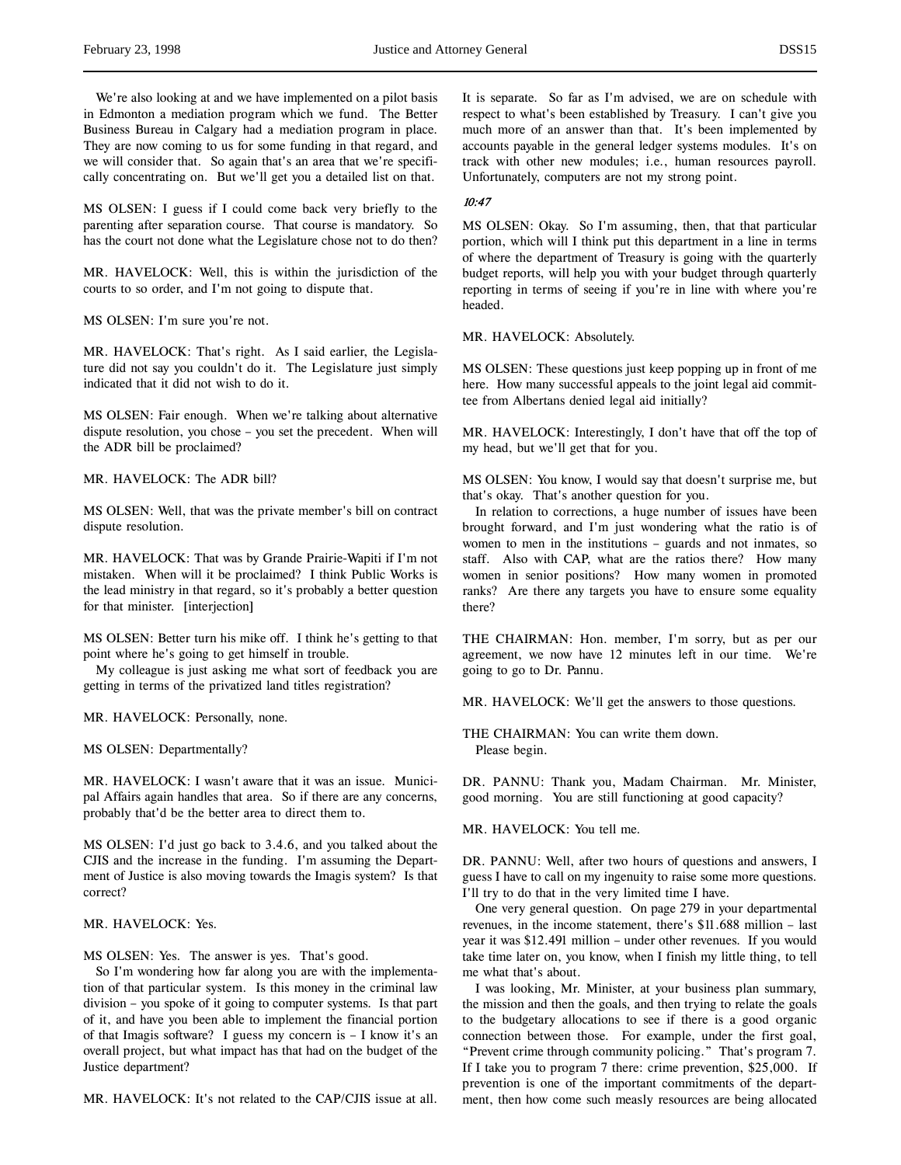We're also looking at and we have implemented on a pilot basis in Edmonton a mediation program which we fund. The Better Business Bureau in Calgary had a mediation program in place. They are now coming to us for some funding in that regard, and we will consider that. So again that's an area that we're specifically concentrating on. But we'll get you a detailed list on that.

MS OLSEN: I guess if I could come back very briefly to the parenting after separation course. That course is mandatory. So has the court not done what the Legislature chose not to do then?

MR. HAVELOCK: Well, this is within the jurisdiction of the courts to so order, and I'm not going to dispute that.

MS OLSEN: I'm sure you're not.

MR. HAVELOCK: That's right. As I said earlier, the Legislature did not say you couldn't do it. The Legislature just simply indicated that it did not wish to do it.

MS OLSEN: Fair enough. When we're talking about alternative dispute resolution, you chose – you set the precedent. When will the ADR bill be proclaimed?

MR. HAVELOCK: The ADR bill?

MS OLSEN: Well, that was the private member's bill on contract dispute resolution.

MR. HAVELOCK: That was by Grande Prairie-Wapiti if I'm not mistaken. When will it be proclaimed? I think Public Works is the lead ministry in that regard, so it's probably a better question for that minister. [interjection]

MS OLSEN: Better turn his mike off. I think he's getting to that point where he's going to get himself in trouble.

My colleague is just asking me what sort of feedback you are getting in terms of the privatized land titles registration?

MR. HAVELOCK: Personally, none.

MS OLSEN: Departmentally?

MR. HAVELOCK: I wasn't aware that it was an issue. Municipal Affairs again handles that area. So if there are any concerns, probably that'd be the better area to direct them to.

MS OLSEN: I'd just go back to 3.4.6, and you talked about the CJIS and the increase in the funding. I'm assuming the Department of Justice is also moving towards the Imagis system? Is that correct?

MR. HAVELOCK: Yes.

MS OLSEN: Yes. The answer is yes. That's good.

So I'm wondering how far along you are with the implementation of that particular system. Is this money in the criminal law division – you spoke of it going to computer systems. Is that part of it, and have you been able to implement the financial portion of that Imagis software? I guess my concern is – I know it's an overall project, but what impact has that had on the budget of the Justice department?

MR. HAVELOCK: It's not related to the CAP/CJIS issue at all.

It is separate. So far as I'm advised, we are on schedule with respect to what's been established by Treasury. I can't give you much more of an answer than that. It's been implemented by accounts payable in the general ledger systems modules. It's on track with other new modules; i.e., human resources payroll. Unfortunately, computers are not my strong point.

# 10:47

MS OLSEN: Okay. So I'm assuming, then, that that particular portion, which will I think put this department in a line in terms of where the department of Treasury is going with the quarterly budget reports, will help you with your budget through quarterly reporting in terms of seeing if you're in line with where you're headed.

MR. HAVELOCK: Absolutely.

MS OLSEN: These questions just keep popping up in front of me here. How many successful appeals to the joint legal aid committee from Albertans denied legal aid initially?

MR. HAVELOCK: Interestingly, I don't have that off the top of my head, but we'll get that for you.

MS OLSEN: You know, I would say that doesn't surprise me, but that's okay. That's another question for you.

In relation to corrections, a huge number of issues have been brought forward, and I'm just wondering what the ratio is of women to men in the institutions – guards and not inmates, so staff. Also with CAP, what are the ratios there? How many women in senior positions? How many women in promoted ranks? Are there any targets you have to ensure some equality there?

THE CHAIRMAN: Hon. member, I'm sorry, but as per our agreement, we now have 12 minutes left in our time. We're going to go to Dr. Pannu.

MR. HAVELOCK: We'll get the answers to those questions.

THE CHAIRMAN: You can write them down. Please begin.

DR. PANNU: Thank you, Madam Chairman. Mr. Minister, good morning. You are still functioning at good capacity?

MR. HAVELOCK: You tell me.

DR. PANNU: Well, after two hours of questions and answers, I guess I have to call on my ingenuity to raise some more questions. I'll try to do that in the very limited time I have.

One very general question. On page 279 in your departmental revenues, in the income statement, there's \$11.688 million – last year it was \$12.491 million – under other revenues. If you would take time later on, you know, when I finish my little thing, to tell me what that's about.

I was looking, Mr. Minister, at your business plan summary, the mission and then the goals, and then trying to relate the goals to the budgetary allocations to see if there is a good organic connection between those. For example, under the first goal, "Prevent crime through community policing." That's program 7. If I take you to program 7 there: crime prevention, \$25,000. If prevention is one of the important commitments of the department, then how come such measly resources are being allocated